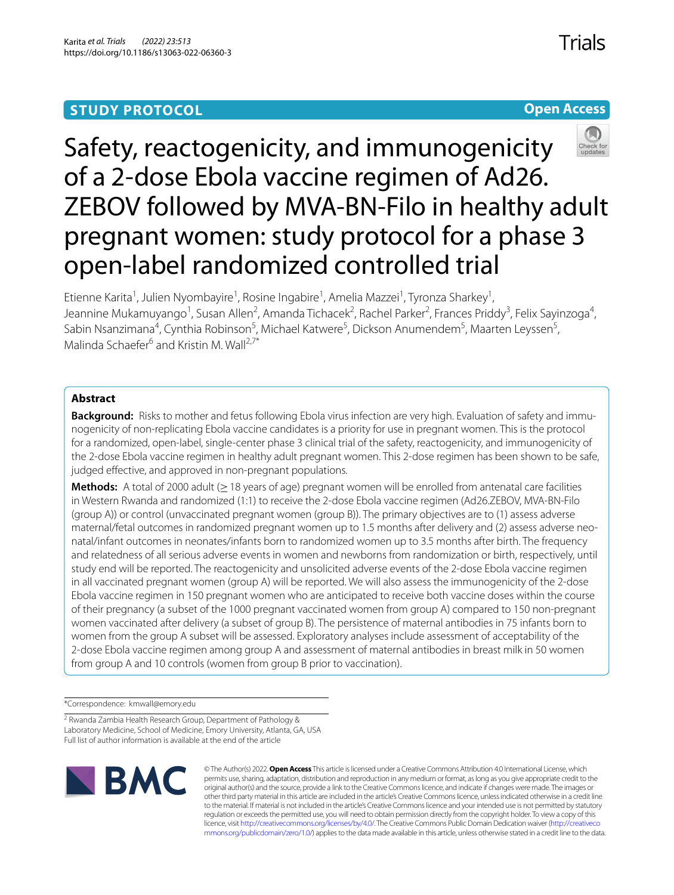# **STUDY PROTOCOL**

**Open Access**

# Safety, reactogenicity, and immunogenicity of a 2-dose Ebola vaccine regimen of Ad26. ZEBOV followed by MVA-BN-Filo in healthy adult pregnant women: study protocol for a phase 3 open-label randomized controlled trial

Etienne Karita<sup>1</sup>, Julien Nyombayire<sup>1</sup>, Rosine Ingabire<sup>1</sup>, Amelia Mazzei<sup>1</sup>, Tyronza Sharkey<sup>1</sup>, Jeannine Mukamuyango<sup>1</sup>, Susan Allen<sup>2</sup>, Amanda Tichacek<sup>2</sup>, Rachel Parker<sup>2</sup>, Frances Priddy<sup>3</sup>, Felix Sayinzoga<sup>4</sup>, Sabin Nsanzimana<sup>4</sup>, Cynthia Robinson<sup>5</sup>, Michael Katwere<sup>5</sup>, Dickson Anumendem<sup>5</sup>, Maarten Leyssen<sup>5</sup>, Malinda Schaefer<sup>6</sup> and Kristin M. Wall<sup>2,7\*</sup>

# **Abstract**

**Background:** Risks to mother and fetus following Ebola virus infection are very high. Evaluation of safety and immunogenicity of non-replicating Ebola vaccine candidates is a priority for use in pregnant women. This is the protocol for a randomized, open-label, single-center phase 3 clinical trial of the safety, reactogenicity, and immunogenicity of the 2-dose Ebola vaccine regimen in healthy adult pregnant women. This 2-dose regimen has been shown to be safe, judged effective, and approved in non-pregnant populations.

**Methods:** A total of 2000 adult (≥18 years of age) pregnant women will be enrolled from antenatal care facilities in Western Rwanda and randomized (1:1) to receive the 2-dose Ebola vaccine regimen (Ad26.ZEBOV, MVA-BN-Filo (group A)) or control (unvaccinated pregnant women (group B)). The primary objectives are to (1) assess adverse maternal/fetal outcomes in randomized pregnant women up to 1.5 months after delivery and (2) assess adverse neonatal/infant outcomes in neonates/infants born to randomized women up to 3.5 months after birth. The frequency and relatedness of all serious adverse events in women and newborns from randomization or birth, respectively, until study end will be reported. The reactogenicity and unsolicited adverse events of the 2-dose Ebola vaccine regimen in all vaccinated pregnant women (group A) will be reported. We will also assess the immunogenicity of the 2-dose Ebola vaccine regimen in 150 pregnant women who are anticipated to receive both vaccine doses within the course of their pregnancy (a subset of the 1000 pregnant vaccinated women from group A) compared to 150 non-pregnant women vaccinated after delivery (a subset of group B). The persistence of maternal antibodies in 75 infants born to women from the group A subset will be assessed. Exploratory analyses include assessment of acceptability of the 2-dose Ebola vaccine regimen among group A and assessment of maternal antibodies in breast milk in 50 women from group A and 10 controls (women from group B prior to vaccination).

\*Correspondence: kmwall@emory.edu

<sup>2</sup> Rwanda Zambia Health Research Group, Department of Pathology & Laboratory Medicine, School of Medicine, Emory University, Atlanta, GA, USA Full list of author information is available at the end of the article



© The Author(s) 2022. **Open Access** This article is licensed under a Creative Commons Attribution 4.0 International License, which permits use, sharing, adaptation, distribution and reproduction in any medium or format, as long as you give appropriate credit to the original author(s) and the source, provide a link to the Creative Commons licence, and indicate if changes were made. The images or other third party material in this article are included in the article's Creative Commons licence, unless indicated otherwise in a credit line to the material. If material is not included in the article's Creative Commons licence and your intended use is not permitted by statutory regulation or exceeds the permitted use, you will need to obtain permission directly from the copyright holder. To view a copy of this licence, visit [http://creativecommons.org/licenses/by/4.0/.](http://creativecommons.org/licenses/by/4.0/) The Creative Commons Public Domain Dedication waiver ([http://creativeco](http://creativecommons.org/publicdomain/zero/1.0/) [mmons.org/publicdomain/zero/1.0/](http://creativecommons.org/publicdomain/zero/1.0/)) applies to the data made available in this article, unless otherwise stated in a credit line to the data.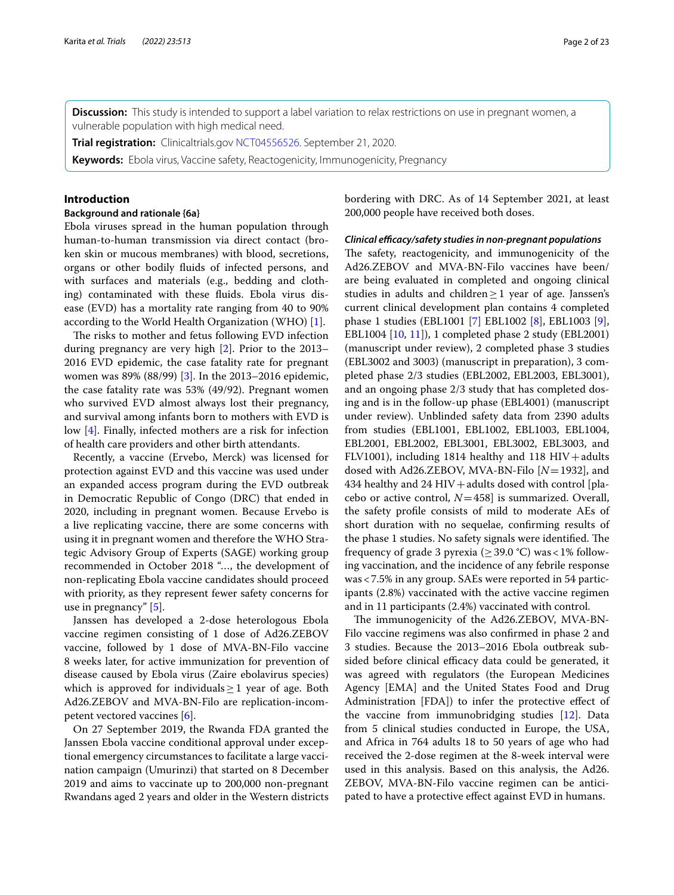**Discussion:** This study is intended to support a label variation to relax restrictions on use in pregnant women, a vulnerable population with high medical need.

**Trial registration:** Clinicaltrials.gov [NCT04556526.](https://clinicaltrials.gov/ct2/show/NCT04556526) September 21, 2020.

**Keywords:** Ebola virus, Vaccine safety, Reactogenicity, Immunogenicity, Pregnancy

#### **Introduction**

#### **Background and rationale {6a}**

Ebola viruses spread in the human population through human-to-human transmission via direct contact (broken skin or mucous membranes) with blood, secretions, organs or other bodily fuids of infected persons, and with surfaces and materials (e.g., bedding and clothing) contaminated with these fuids. Ebola virus disease (EVD) has a mortality rate ranging from 40 to 90% according to the World Health Organization (WHO) [\[1](#page-21-0)].

The risks to mother and fetus following EVD infection during pregnancy are very high [\[2](#page-21-1)]. Prior to the 2013– 2016 EVD epidemic, the case fatality rate for pregnant women was 89% (88/99) [[3](#page-21-2)]. In the 2013–2016 epidemic, the case fatality rate was 53% (49/92). Pregnant women who survived EVD almost always lost their pregnancy, and survival among infants born to mothers with EVD is low [[4\]](#page-21-3). Finally, infected mothers are a risk for infection of health care providers and other birth attendants.

Recently, a vaccine (Ervebo, Merck) was licensed for protection against EVD and this vaccine was used under an expanded access program during the EVD outbreak in Democratic Republic of Congo (DRC) that ended in 2020, including in pregnant women. Because Ervebo is a live replicating vaccine, there are some concerns with using it in pregnant women and therefore the WHO Strategic Advisory Group of Experts (SAGE) working group recommended in October 2018 "…, the development of non-replicating Ebola vaccine candidates should proceed with priority, as they represent fewer safety concerns for use in pregnancy" [\[5](#page-21-4)].

Janssen has developed a 2-dose heterologous Ebola vaccine regimen consisting of 1 dose of Ad26.ZEBOV vaccine, followed by 1 dose of MVA-BN-Filo vaccine 8 weeks later, for active immunization for prevention of disease caused by Ebola virus (Zaire ebolavirus species) which is approved for individuals  $\geq 1$  year of age. Both Ad26.ZEBOV and MVA-BN-Filo are replication-incompetent vectored vaccines [[6\]](#page-21-5).

On 27 September 2019, the Rwanda FDA granted the Janssen Ebola vaccine conditional approval under exceptional emergency circumstances to facilitate a large vaccination campaign (Umurinzi) that started on 8 December 2019 and aims to vaccinate up to 200,000 non-pregnant Rwandans aged 2 years and older in the Western districts bordering with DRC. As of 14 September 2021, at least 200,000 people have received both doses.

#### *Clinical efficacy/safety studies in non-pregnant populations*

The safety, reactogenicity, and immunogenicity of the Ad26.ZEBOV and MVA-BN-Filo vaccines have been/ are being evaluated in completed and ongoing clinical studies in adults and children $\geq$ 1 year of age. Janssen's current clinical development plan contains 4 completed phase 1 studies (EBL1001 [\[7](#page-21-6)] EBL1002 [[8\]](#page-21-7), EBL1003 [\[9](#page-21-8)], EBL1004 [\[10](#page-21-9), [11\]](#page-21-10)), 1 completed phase 2 study (EBL2001) (manuscript under review), 2 completed phase 3 studies (EBL3002 and 3003) (manuscript in preparation), 3 completed phase 2/3 studies (EBL2002, EBL2003, EBL3001), and an ongoing phase 2/3 study that has completed dosing and is in the follow-up phase (EBL4001) (manuscript under review). Unblinded safety data from 2390 adults from studies (EBL1001, EBL1002, EBL1003, EBL1004, EBL2001, EBL2002, EBL3001, EBL3002, EBL3003, and FLV1001), including 1814 healthy and 118 HIV + adults dosed with Ad26.ZEBOV, MVA-BN-Filo [*N*=1932], and 434 healthy and  $24$  HIV + adults dosed with control [placebo or active control, *N*=458] is summarized. Overall, the safety profle consists of mild to moderate AEs of short duration with no sequelae, confrming results of the phase 1 studies. No safety signals were identified. The frequency of grade 3 pyrexia ( $\geq$  39.0 °C) was < 1% following vaccination, and the incidence of any febrile response was<7.5% in any group. SAEs were reported in 54 participants (2.8%) vaccinated with the active vaccine regimen and in 11 participants (2.4%) vaccinated with control.

The immunogenicity of the Ad26.ZEBOV, MVA-BN-Filo vaccine regimens was also confrmed in phase 2 and 3 studies. Because the 2013–2016 Ebola outbreak subsided before clinical efficacy data could be generated, it was agreed with regulators (the European Medicines Agency [EMA] and the United States Food and Drug Administration [FDA]) to infer the protective efect of the vaccine from immunobridging studies [\[12](#page-21-11)]. Data from 5 clinical studies conducted in Europe, the USA, and Africa in 764 adults 18 to 50 years of age who had received the 2-dose regimen at the 8-week interval were used in this analysis. Based on this analysis, the Ad26. ZEBOV, MVA-BN-Filo vaccine regimen can be anticipated to have a protective efect against EVD in humans.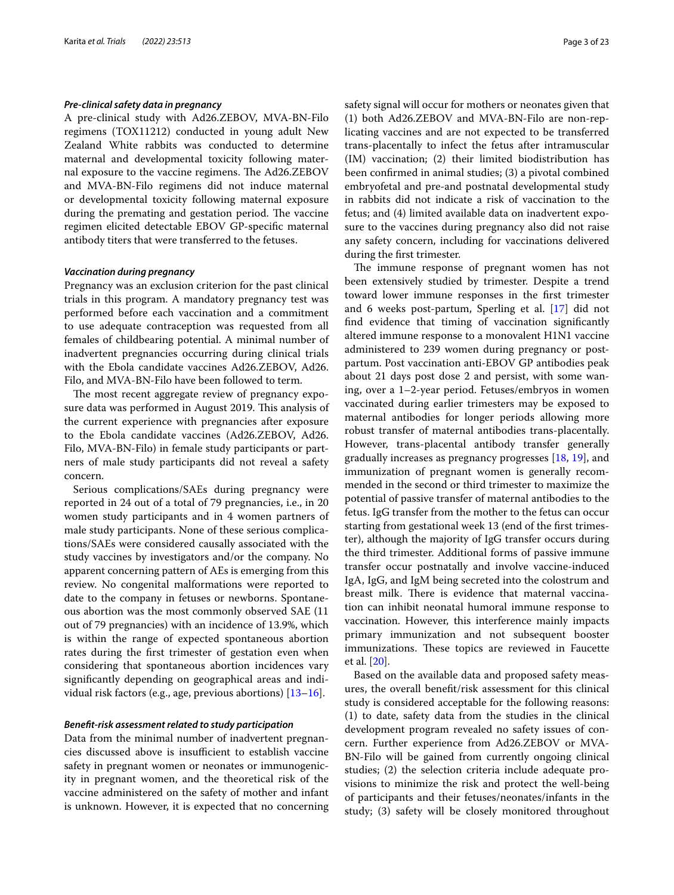#### *Pre‑clinical safety data in pregnancy*

A pre-clinical study with Ad26.ZEBOV, MVA-BN-Filo regimens (TOX11212) conducted in young adult New Zealand White rabbits was conducted to determine maternal and developmental toxicity following maternal exposure to the vaccine regimens. The Ad26.ZEBOV and MVA-BN-Filo regimens did not induce maternal or developmental toxicity following maternal exposure during the premating and gestation period. The vaccine regimen elicited detectable EBOV GP-specifc maternal antibody titers that were transferred to the fetuses.

#### *Vaccination during pregnancy*

Pregnancy was an exclusion criterion for the past clinical trials in this program. A mandatory pregnancy test was performed before each vaccination and a commitment to use adequate contraception was requested from all females of childbearing potential. A minimal number of inadvertent pregnancies occurring during clinical trials with the Ebola candidate vaccines Ad26.ZEBOV, Ad26. Filo, and MVA-BN-Filo have been followed to term.

The most recent aggregate review of pregnancy exposure data was performed in August 2019. This analysis of the current experience with pregnancies after exposure to the Ebola candidate vaccines (Ad26.ZEBOV, Ad26. Filo, MVA-BN-Filo) in female study participants or partners of male study participants did not reveal a safety concern.

Serious complications/SAEs during pregnancy were reported in 24 out of a total of 79 pregnancies, i.e., in 20 women study participants and in 4 women partners of male study participants. None of these serious complications/SAEs were considered causally associated with the study vaccines by investigators and/or the company. No apparent concerning pattern of AEs is emerging from this review. No congenital malformations were reported to date to the company in fetuses or newborns. Spontaneous abortion was the most commonly observed SAE (11 out of 79 pregnancies) with an incidence of 13.9%, which is within the range of expected spontaneous abortion rates during the frst trimester of gestation even when considering that spontaneous abortion incidences vary signifcantly depending on geographical areas and individual risk factors (e.g., age, previous abortions)  $[13-16]$  $[13-16]$ .

#### *Beneft‑risk assessment related to study participation*

Data from the minimal number of inadvertent pregnancies discussed above is insufficient to establish vaccine safety in pregnant women or neonates or immunogenicity in pregnant women, and the theoretical risk of the vaccine administered on the safety of mother and infant is unknown. However, it is expected that no concerning safety signal will occur for mothers or neonates given that (1) both Ad26.ZEBOV and MVA-BN-Filo are non-replicating vaccines and are not expected to be transferred trans-placentally to infect the fetus after intramuscular (IM) vaccination; (2) their limited biodistribution has been confrmed in animal studies; (3) a pivotal combined embryofetal and pre-and postnatal developmental study in rabbits did not indicate a risk of vaccination to the fetus; and (4) limited available data on inadvertent exposure to the vaccines during pregnancy also did not raise any safety concern, including for vaccinations delivered during the frst trimester.

The immune response of pregnant women has not been extensively studied by trimester. Despite a trend toward lower immune responses in the frst trimester and 6 weeks post-partum, Sperling et al. [\[17](#page-22-2)] did not fnd evidence that timing of vaccination signifcantly altered immune response to a monovalent H1N1 vaccine administered to 239 women during pregnancy or postpartum. Post vaccination anti-EBOV GP antibodies peak about 21 days post dose 2 and persist, with some waning, over a 1–2-year period. Fetuses/embryos in women vaccinated during earlier trimesters may be exposed to maternal antibodies for longer periods allowing more robust transfer of maternal antibodies trans-placentally. However, trans-placental antibody transfer generally gradually increases as pregnancy progresses [[18,](#page-22-3) [19](#page-22-4)], and immunization of pregnant women is generally recommended in the second or third trimester to maximize the potential of passive transfer of maternal antibodies to the fetus. IgG transfer from the mother to the fetus can occur starting from gestational week 13 (end of the frst trimester), although the majority of IgG transfer occurs during the third trimester. Additional forms of passive immune transfer occur postnatally and involve vaccine-induced IgA, IgG, and IgM being secreted into the colostrum and breast milk. There is evidence that maternal vaccination can inhibit neonatal humoral immune response to vaccination. However, this interference mainly impacts primary immunization and not subsequent booster immunizations. These topics are reviewed in Faucette et al. [[20](#page-22-5)].

Based on the available data and proposed safety measures, the overall beneft/risk assessment for this clinical study is considered acceptable for the following reasons: (1) to date, safety data from the studies in the clinical development program revealed no safety issues of concern. Further experience from Ad26.ZEBOV or MVA-BN-Filo will be gained from currently ongoing clinical studies; (2) the selection criteria include adequate provisions to minimize the risk and protect the well-being of participants and their fetuses/neonates/infants in the study; (3) safety will be closely monitored throughout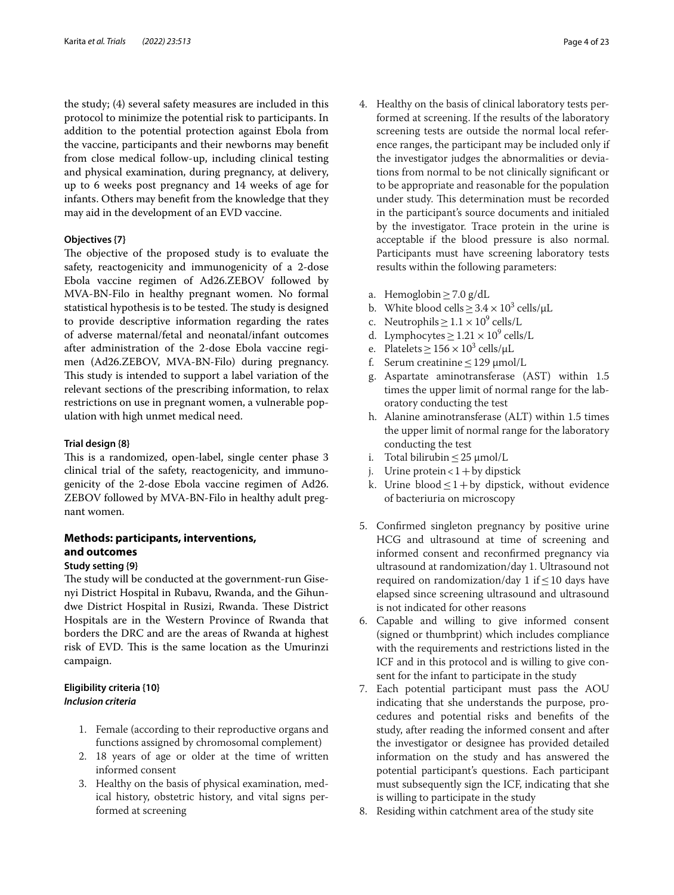the study; (4) several safety measures are included in this protocol to minimize the potential risk to participants. In addition to the potential protection against Ebola from the vaccine, participants and their newborns may beneft from close medical follow-up, including clinical testing and physical examination, during pregnancy, at delivery, up to 6 weeks post pregnancy and 14 weeks of age for infants. Others may beneft from the knowledge that they may aid in the development of an EVD vaccine.

### **Objectives {7}**

The objective of the proposed study is to evaluate the safety, reactogenicity and immunogenicity of a 2-dose Ebola vaccine regimen of Ad26.ZEBOV followed by MVA-BN-Filo in healthy pregnant women. No formal statistical hypothesis is to be tested. The study is designed to provide descriptive information regarding the rates of adverse maternal/fetal and neonatal/infant outcomes after administration of the 2-dose Ebola vaccine regimen (Ad26.ZEBOV, MVA-BN-Filo) during pregnancy. This study is intended to support a label variation of the relevant sections of the prescribing information, to relax restrictions on use in pregnant women, a vulnerable population with high unmet medical need.

#### **Trial design {8}**

This is a randomized, open-label, single center phase 3 clinical trial of the safety, reactogenicity, and immunogenicity of the 2-dose Ebola vaccine regimen of Ad26. ZEBOV followed by MVA-BN-Filo in healthy adult pregnant women.

# **Methods: participants, interventions, and outcomes**

#### **Study setting {9}**

The study will be conducted at the government-run Gisenyi District Hospital in Rubavu, Rwanda, and the Gihundwe District Hospital in Rusizi, Rwanda. These District Hospitals are in the Western Province of Rwanda that borders the DRC and are the areas of Rwanda at highest risk of EVD. This is the same location as the Umurinzi campaign.

# **Eligibility criteria {10}** *Inclusion criteria*

- 1. Female (according to their reproductive organs and functions assigned by chromosomal complement)
- 2. 18 years of age or older at the time of written informed consent
- 3. Healthy on the basis of physical examination, medical history, obstetric history, and vital signs performed at screening
- 4. Healthy on the basis of clinical laboratory tests performed at screening. If the results of the laboratory screening tests are outside the normal local reference ranges, the participant may be included only if the investigator judges the abnormalities or deviations from normal to be not clinically signifcant or to be appropriate and reasonable for the population under study. This determination must be recorded in the participant's source documents and initialed by the investigator. Trace protein in the urine is acceptable if the blood pressure is also normal. Participants must have screening laboratory tests results within the following parameters:
	-
	- a. Hemoglobin  $\geq$  7.0 g/dL<br>b. White blood cells  $\geq$  3.4 b. White blood cells  $\geq 3.4 \times 10^3$  cells/ $\mu$ L
	- c. Neutrophils  $\geq 1.1 \times 10^9$  cells/L
	- d. Lymphocytes  $\geq 1.21 \times 10^9$  cells/L
	- e. Platelets  $\geq 156 \times 10^3$  cells/ $\mu$ L
	- f. Serum creatinine  $\leq$  129  $\mu$ mol/L
	- g. Aspartate aminotransferase (AST) within 1.5 times the upper limit of normal range for the laboratory conducting the test
	- h. Alanine aminotransferase (ALT) within 1.5 times the upper limit of normal range for the laboratory conducting the test
	- i. Total bilirubin  $\leq 25$   $\mu$ mol/L
	- j. Urine protein  $< 1 +$  by dipstick
	- k. Urine blood  $\leq$  1+by dipstick, without evidence of bacteriuria on microscopy
- 5. Confrmed singleton pregnancy by positive urine HCG and ultrasound at time of screening and informed consent and reconfrmed pregnancy via ultrasound at randomization/day 1. Ultrasound not required on randomization/day 1 if  $\leq$  10 days have elapsed since screening ultrasound and ultrasound is not indicated for other reasons
- 6. Capable and willing to give informed consent (signed or thumbprint) which includes compliance with the requirements and restrictions listed in the ICF and in this protocol and is willing to give consent for the infant to participate in the study
- 7. Each potential participant must pass the AOU indicating that she understands the purpose, procedures and potential risks and benefts of the study, after reading the informed consent and after the investigator or designee has provided detailed information on the study and has answered the potential participant's questions. Each participant must subsequently sign the ICF, indicating that she is willing to participate in the study
- 8. Residing within catchment area of the study site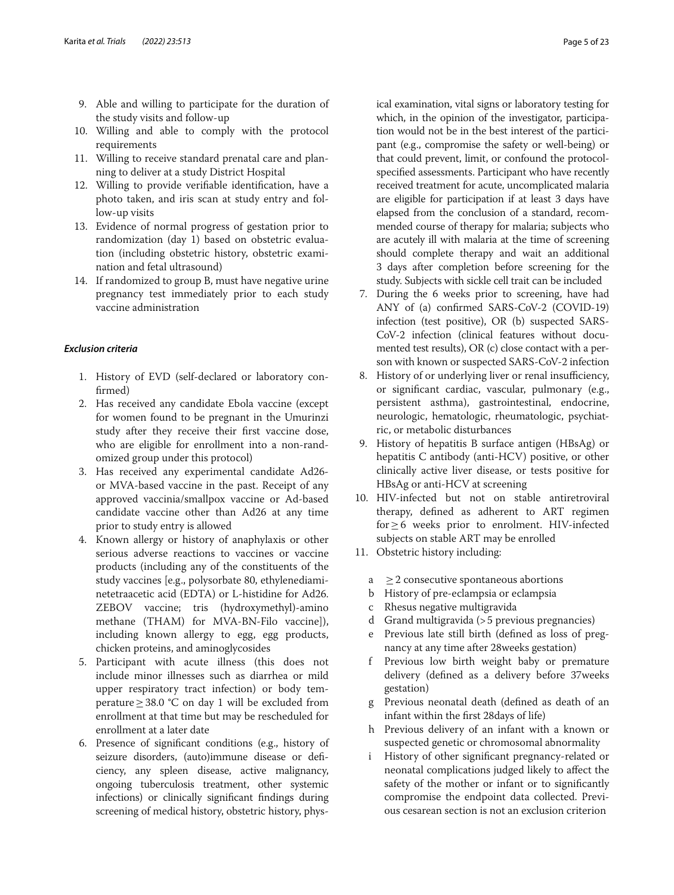- 9. Able and willing to participate for the duration of the study visits and follow-up
- 10. Willing and able to comply with the protocol requirements
- 11. Willing to receive standard prenatal care and planning to deliver at a study District Hospital
- 12. Willing to provide verifable identifcation, have a photo taken, and iris scan at study entry and follow-up visits
- 13. Evidence of normal progress of gestation prior to randomization (day 1) based on obstetric evaluation (including obstetric history, obstetric examination and fetal ultrasound)
- 14. If randomized to group B, must have negative urine pregnancy test immediately prior to each study vaccine administration

#### *Exclusion criteria*

- 1. History of EVD (self-declared or laboratory confrmed)
- 2. Has received any candidate Ebola vaccine (except for women found to be pregnant in the Umurinzi study after they receive their frst vaccine dose, who are eligible for enrollment into a non-randomized group under this protocol)
- 3. Has received any experimental candidate Ad26 or MVA-based vaccine in the past. Receipt of any approved vaccinia/smallpox vaccine or Ad-based candidate vaccine other than Ad26 at any time prior to study entry is allowed
- 4. Known allergy or history of anaphylaxis or other serious adverse reactions to vaccines or vaccine products (including any of the constituents of the study vaccines [e.g., polysorbate 80, ethylenediaminetetraacetic acid (EDTA) or L-histidine for Ad26. ZEBOV vaccine; tris (hydroxymethyl)-amino methane (THAM) for MVA-BN-Filo vaccine]), including known allergy to egg, egg products, chicken proteins, and aminoglycosides
- 5. Participant with acute illness (this does not include minor illnesses such as diarrhea or mild upper respiratory tract infection) or body temperature≥38.0 °C on day 1 will be excluded from enrollment at that time but may be rescheduled for enrollment at a later date
- 6. Presence of signifcant conditions (e.g., history of seizure disorders, (auto)immune disease or defciency, any spleen disease, active malignancy, ongoing tuberculosis treatment, other systemic infections) or clinically signifcant fndings during screening of medical history, obstetric history, phys-

ical examination, vital signs or laboratory testing for which, in the opinion of the investigator, participation would not be in the best interest of the participant (e.g., compromise the safety or well-being) or that could prevent, limit, or confound the protocolspecifed assessments. Participant who have recently received treatment for acute, uncomplicated malaria are eligible for participation if at least 3 days have elapsed from the conclusion of a standard, recommended course of therapy for malaria; subjects who are acutely ill with malaria at the time of screening should complete therapy and wait an additional 3 days after completion before screening for the study. Subjects with sickle cell trait can be included

- 7. During the 6 weeks prior to screening, have had ANY of (a) confrmed SARS-CoV-2 (COVID-19) infection (test positive), OR (b) suspected SARS-CoV-2 infection (clinical features without documented test results), OR (c) close contact with a person with known or suspected SARS-CoV-2 infection
- 8. History of or underlying liver or renal insufficiency, or signifcant cardiac, vascular, pulmonary (e.g., persistent asthma), gastrointestinal, endocrine, neurologic, hematologic, rheumatologic, psychiatric, or metabolic disturbances
- 9. History of hepatitis B surface antigen (HBsAg) or hepatitis C antibody (anti-HCV) positive, or other clinically active liver disease, or tests positive for HBsAg or anti-HCV at screening
- 10. HIV-infected but not on stable antiretroviral therapy, defned as adherent to ART regimen for≥6 weeks prior to enrolment. HIV-infected subjects on stable ART may be enrolled
- 11. Obstetric history including:
	- $a \geq 2$  consecutive spontaneous abortions
	- b History of pre-eclampsia or eclampsia
	- c Rhesus negative multigravida
	- d Grand multigravida (>5 previous pregnancies)
	- e Previous late still birth (defned as loss of pregnancy at any time after 28weeks gestation)
	- f Previous low birth weight baby or premature delivery (defned as a delivery before 37weeks gestation)
	- g Previous neonatal death (defned as death of an infant within the frst 28days of life)
	- h Previous delivery of an infant with a known or suspected genetic or chromosomal abnormality
	- i History of other signifcant pregnancy-related or neonatal complications judged likely to afect the safety of the mother or infant or to signifcantly compromise the endpoint data collected. Previous cesarean section is not an exclusion criterion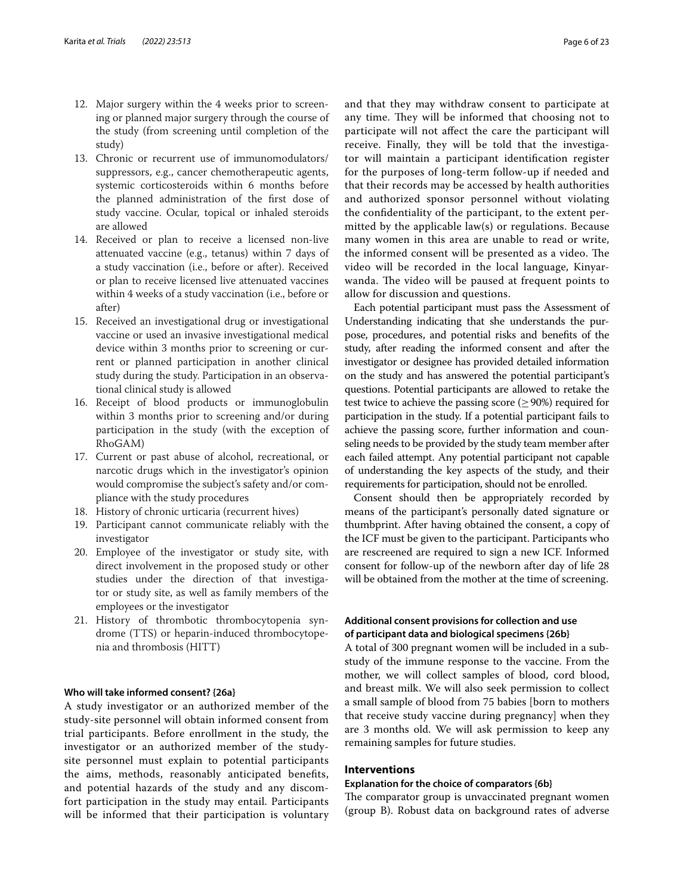- 12. Major surgery within the 4 weeks prior to screening or planned major surgery through the course of the study (from screening until completion of the study)
- 13. Chronic or recurrent use of immunomodulators/ suppressors, e.g., cancer chemotherapeutic agents, systemic corticosteroids within 6 months before the planned administration of the frst dose of study vaccine. Ocular, topical or inhaled steroids are allowed
- 14. Received or plan to receive a licensed non-live attenuated vaccine (e.g., tetanus) within 7 days of a study vaccination (i.e., before or after). Received or plan to receive licensed live attenuated vaccines within 4 weeks of a study vaccination (i.e., before or after)
- 15. Received an investigational drug or investigational vaccine or used an invasive investigational medical device within 3 months prior to screening or current or planned participation in another clinical study during the study. Participation in an observational clinical study is allowed
- 16. Receipt of blood products or immunoglobulin within 3 months prior to screening and/or during participation in the study (with the exception of RhoGAM)
- 17. Current or past abuse of alcohol, recreational, or narcotic drugs which in the investigator's opinion would compromise the subject's safety and/or compliance with the study procedures
- 18. History of chronic urticaria (recurrent hives)
- 19. Participant cannot communicate reliably with the investigator
- 20. Employee of the investigator or study site, with direct involvement in the proposed study or other studies under the direction of that investigator or study site, as well as family members of the employees or the investigator
- 21. History of thrombotic thrombocytopenia syndrome (TTS) or heparin-induced thrombocytopenia and thrombosis (HITT)

# **Who will take informed consent? {26a}**

A study investigator or an authorized member of the study-site personnel will obtain informed consent from trial participants. Before enrollment in the study, the investigator or an authorized member of the studysite personnel must explain to potential participants the aims, methods, reasonably anticipated benefts, and potential hazards of the study and any discomfort participation in the study may entail. Participants will be informed that their participation is voluntary and that they may withdraw consent to participate at any time. They will be informed that choosing not to participate will not afect the care the participant will receive. Finally, they will be told that the investigator will maintain a participant identifcation register for the purposes of long-term follow-up if needed and that their records may be accessed by health authorities and authorized sponsor personnel without violating the confdentiality of the participant, to the extent permitted by the applicable law(s) or regulations. Because many women in this area are unable to read or write, the informed consent will be presented as a video. The video will be recorded in the local language, Kinyarwanda. The video will be paused at frequent points to allow for discussion and questions.

Each potential participant must pass the Assessment of Understanding indicating that she understands the purpose, procedures, and potential risks and benefts of the study, after reading the informed consent and after the investigator or designee has provided detailed information on the study and has answered the potential participant's questions. Potential participants are allowed to retake the test twice to achieve the passing score ( $\geq$  90%) required for participation in the study. If a potential participant fails to achieve the passing score, further information and counseling needs to be provided by the study team member after each failed attempt. Any potential participant not capable of understanding the key aspects of the study, and their requirements for participation, should not be enrolled.

Consent should then be appropriately recorded by means of the participant's personally dated signature or thumbprint. After having obtained the consent, a copy of the ICF must be given to the participant. Participants who are rescreened are required to sign a new ICF. Informed consent for follow-up of the newborn after day of life 28 will be obtained from the mother at the time of screening.

# **Additional consent provisions for collection and use of participant data and biological specimens {26b}**

A total of 300 pregnant women will be included in a substudy of the immune response to the vaccine. From the mother, we will collect samples of blood, cord blood, and breast milk. We will also seek permission to collect a small sample of blood from 75 babies [born to mothers that receive study vaccine during pregnancy] when they are 3 months old. We will ask permission to keep any remaining samples for future studies.

# **Interventions**

#### **Explanation for the choice of comparators {6b}**

The comparator group is unvaccinated pregnant women (group B). Robust data on background rates of adverse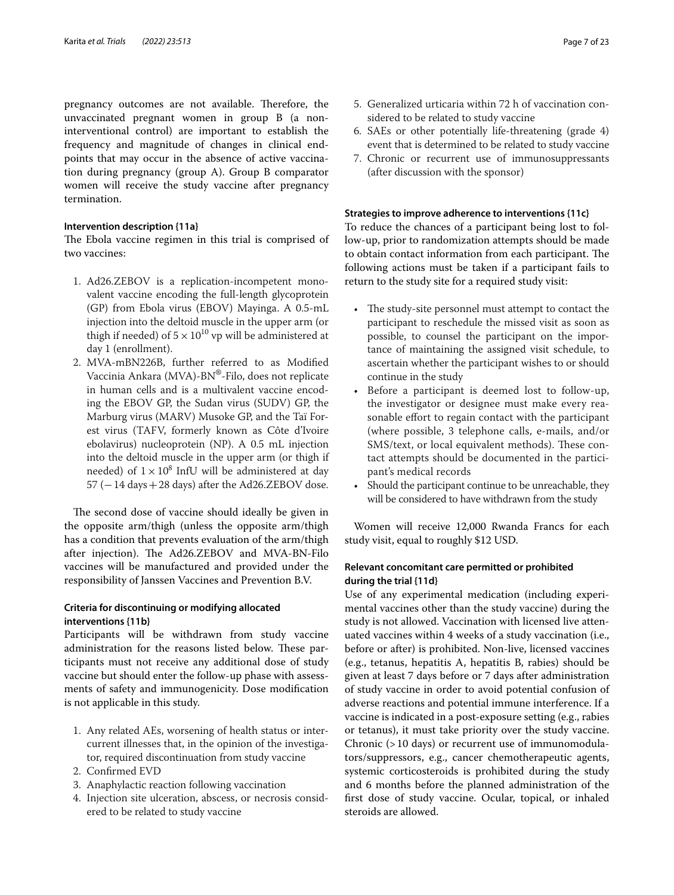pregnancy outcomes are not available. Therefore, the unvaccinated pregnant women in group B (a noninterventional control) are important to establish the frequency and magnitude of changes in clinical endpoints that may occur in the absence of active vaccination during pregnancy (group A). Group B comparator women will receive the study vaccine after pregnancy termination.

# **Intervention description {11a}**

The Ebola vaccine regimen in this trial is comprised of two vaccines:

- 1. Ad26.ZEBOV is a replication-incompetent monovalent vaccine encoding the full-length glycoprotein (GP) from Ebola virus (EBOV) Mayinga. A 0.5-mL injection into the deltoid muscle in the upper arm (or thigh if needed) of  $5 \times 10^{10}$  vp will be administered at day 1 (enrollment).
- 2. MVA-mBN226B, further referred to as Modifed Vaccinia Ankara (MVA)-BN®-Filo, does not replicate in human cells and is a multivalent vaccine encoding the EBOV GP, the Sudan virus (SUDV) GP, the Marburg virus (MARV) Musoke GP, and the Taï Forest virus (TAFV, formerly known as Côte d'Ivoire ebolavirus) nucleoprotein (NP). A 0.5 mL injection into the deltoid muscle in the upper arm (or thigh if needed) of  $1 \times 10^8$  InfU will be administered at day  $57$  ( $-14$  days  $+28$  days) after the Ad26.ZEBOV dose.

The second dose of vaccine should ideally be given in the opposite arm/thigh (unless the opposite arm/thigh has a condition that prevents evaluation of the arm/thigh after injection). The Ad26.ZEBOV and MVA-BN-Filo vaccines will be manufactured and provided under the responsibility of Janssen Vaccines and Prevention B.V.

# **Criteria for discontinuing or modifying allocated interventions {11b}**

Participants will be withdrawn from study vaccine administration for the reasons listed below. These participants must not receive any additional dose of study vaccine but should enter the follow-up phase with assessments of safety and immunogenicity. Dose modifcation is not applicable in this study.

- 1. Any related AEs, worsening of health status or intercurrent illnesses that, in the opinion of the investigator, required discontinuation from study vaccine
- 2. Confrmed EVD
- 3. Anaphylactic reaction following vaccination
- 4. Injection site ulceration, abscess, or necrosis considered to be related to study vaccine
- 5. Generalized urticaria within 72 h of vaccination considered to be related to study vaccine
- 6. SAEs or other potentially life-threatening (grade 4) event that is determined to be related to study vaccine
- 7. Chronic or recurrent use of immunosuppressants (after discussion with the sponsor)

#### **Strategies to improve adherence to interventions {11c}**

To reduce the chances of a participant being lost to follow-up, prior to randomization attempts should be made to obtain contact information from each participant. The following actions must be taken if a participant fails to return to the study site for a required study visit:

- The study-site personnel must attempt to contact the participant to reschedule the missed visit as soon as possible, to counsel the participant on the importance of maintaining the assigned visit schedule, to ascertain whether the participant wishes to or should continue in the study
- Before a participant is deemed lost to follow-up, the investigator or designee must make every reasonable effort to regain contact with the participant (where possible, 3 telephone calls, e-mails, and/or SMS/text, or local equivalent methods). These contact attempts should be documented in the participant's medical records
- Should the participant continue to be unreachable, they will be considered to have withdrawn from the study

Women will receive 12,000 Rwanda Francs for each study visit, equal to roughly \$12 USD.

# **Relevant concomitant care permitted or prohibited during the trial {11d}**

Use of any experimental medication (including experimental vaccines other than the study vaccine) during the study is not allowed. Vaccination with licensed live attenuated vaccines within 4 weeks of a study vaccination (i.e., before or after) is prohibited. Non-live, licensed vaccines (e.g., tetanus, hepatitis A, hepatitis B, rabies) should be given at least 7 days before or 7 days after administration of study vaccine in order to avoid potential confusion of adverse reactions and potential immune interference. If a vaccine is indicated in a post-exposure setting (e.g., rabies or tetanus), it must take priority over the study vaccine. Chronic (>10 days) or recurrent use of immunomodulators/suppressors, e.g., cancer chemotherapeutic agents, systemic corticosteroids is prohibited during the study and 6 months before the planned administration of the frst dose of study vaccine. Ocular, topical, or inhaled steroids are allowed.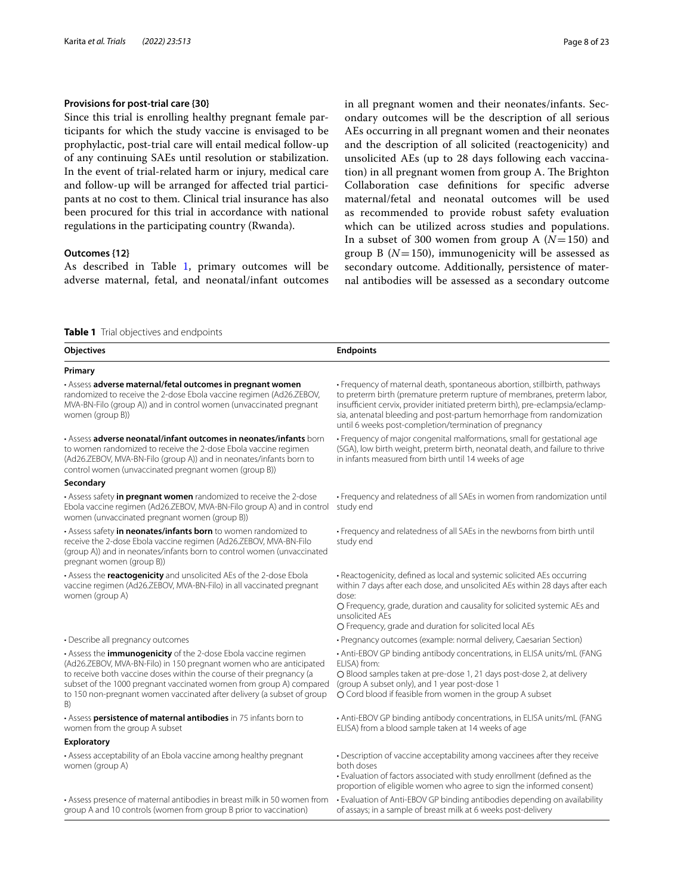# **Provisions for post‑trial care {30}**

Since this trial is enrolling healthy pregnant female participants for which the study vaccine is envisaged to be prophylactic, post-trial care will entail medical follow-up of any continuing SAEs until resolution or stabilization. In the event of trial-related harm or injury, medical care and follow-up will be arranged for afected trial participants at no cost to them. Clinical trial insurance has also been procured for this trial in accordance with national regulations in the participating country (Rwanda).

# **Outcomes {12}**

As described in Table [1,](#page-7-0) primary outcomes will be adverse maternal, fetal, and neonatal/infant outcomes in all pregnant women and their neonates/infants. Secondary outcomes will be the description of all serious AEs occurring in all pregnant women and their neonates and the description of all solicited (reactogenicity) and unsolicited AEs (up to 28 days following each vaccination) in all pregnant women from group A. The Brighton Collaboration case defnitions for specifc adverse maternal/fetal and neonatal outcomes will be used as recommended to provide robust safety evaluation which can be utilized across studies and populations. In a subset of 300 women from group A (*N*=150) and group B (*N*=150), immunogenicity will be assessed as secondary outcome. Additionally, persistence of maternal antibodies will be assessed as a secondary outcome

#### <span id="page-7-0"></span>**Table 1** Trial objectives and endpoints

| <b>Objectives</b>                                                                                                                                                                                                                                                                                                                                                             | <b>Endpoints</b>                                                                                                                                                                                                                                                                                                                                                          |
|-------------------------------------------------------------------------------------------------------------------------------------------------------------------------------------------------------------------------------------------------------------------------------------------------------------------------------------------------------------------------------|---------------------------------------------------------------------------------------------------------------------------------------------------------------------------------------------------------------------------------------------------------------------------------------------------------------------------------------------------------------------------|
| Primary                                                                                                                                                                                                                                                                                                                                                                       |                                                                                                                                                                                                                                                                                                                                                                           |
| · Assess adverse maternal/fetal outcomes in pregnant women<br>randomized to receive the 2-dose Ebola vaccine regimen (Ad26.ZEBOV,<br>MVA-BN-Filo (group A)) and in control women (unvaccinated pregnant<br>women (group B))                                                                                                                                                   | • Frequency of maternal death, spontaneous abortion, stillbirth, pathways<br>to preterm birth (premature preterm rupture of membranes, preterm labor,<br>insufficient cervix, provider initiated preterm birth), pre-eclampsia/eclamp-<br>sia, antenatal bleeding and post-partum hemorrhage from randomization<br>until 6 weeks post-completion/termination of pregnancy |
| · Assess adverse neonatal/infant outcomes in neonates/infants born<br>to women randomized to receive the 2-dose Ebola vaccine regimen<br>(Ad26.ZEBOV, MVA-BN-Filo (group A)) and in neonates/infants born to<br>control women (unvaccinated pregnant women (group B))                                                                                                         | • Frequency of major congenital malformations, small for gestational age<br>(SGA), low birth weight, preterm birth, neonatal death, and failure to thrive<br>in infants measured from birth until 14 weeks of age                                                                                                                                                         |
| Secondary                                                                                                                                                                                                                                                                                                                                                                     |                                                                                                                                                                                                                                                                                                                                                                           |
| • Assess safety <i>in pregnant women</i> randomized to receive the 2-dose<br>Ebola vaccine regimen (Ad26.ZEBOV, MVA-BN-Filo group A) and in control<br>women (unvaccinated pregnant women (group B))                                                                                                                                                                          | • Frequency and relatedness of all SAEs in women from randomization until<br>study end                                                                                                                                                                                                                                                                                    |
| • Assess safety in neonates/infants born to women randomized to<br>receive the 2-dose Ebola vaccine regimen (Ad26.ZEBOV, MVA-BN-Filo<br>(group A)) and in neonates/infants born to control women (unvaccinated<br>pregnant women (group B))                                                                                                                                   | • Frequency and relatedness of all SAEs in the newborns from birth until<br>study end                                                                                                                                                                                                                                                                                     |
| • Assess the <b>reactogenicity</b> and unsolicited AEs of the 2-dose Ebola<br>vaccine regimen (Ad26.ZEBOV, MVA-BN-Filo) in all vaccinated pregnant<br>women (group A)                                                                                                                                                                                                         | • Reactogenicity, defined as local and systemic solicited AEs occurring<br>within 7 days after each dose, and unsolicited AEs within 28 days after each<br>dose:<br>O Frequency, grade, duration and causality for solicited systemic AEs and<br>unsolicited AEs<br>O Frequency, grade and duration for solicited local AEs                                               |
| · Describe all pregnancy outcomes                                                                                                                                                                                                                                                                                                                                             | • Pregnancy outcomes (example: normal delivery, Caesarian Section)                                                                                                                                                                                                                                                                                                        |
| • Assess the <i>immunogenicity</i> of the 2-dose Ebola vaccine regimen<br>(Ad26.ZEBOV, MVA-BN-Filo) in 150 pregnant women who are anticipated<br>to receive both vaccine doses within the course of their pregnancy (a<br>subset of the 1000 pregnant vaccinated women from group A) compared<br>to 150 non-pregnant women vaccinated after delivery (a subset of group<br>B) | • Anti-EBOV GP binding antibody concentrations, in ELISA units/mL (FANG<br>ELISA) from:<br>O Blood samples taken at pre-dose 1, 21 days post-dose 2, at delivery<br>(group A subset only), and 1 year post-dose 1<br>O Cord blood if feasible from women in the group A subset                                                                                            |
| · Assess persistence of maternal antibodies in 75 infants born to<br>women from the group A subset                                                                                                                                                                                                                                                                            | • Anti-EBOV GP binding antibody concentrations, in ELISA units/mL (FANG<br>ELISA) from a blood sample taken at 14 weeks of age                                                                                                                                                                                                                                            |
| <b>Exploratory</b>                                                                                                                                                                                                                                                                                                                                                            |                                                                                                                                                                                                                                                                                                                                                                           |
| • Assess acceptability of an Ebola vaccine among healthy pregnant<br>women (group A)                                                                                                                                                                                                                                                                                          | • Description of vaccine acceptability among vaccinees after they receive<br>both doses<br>. Evaluation of factors associated with study enrollment (defined as the<br>proportion of eligible women who agree to sign the informed consent)                                                                                                                               |
| • Assess presence of maternal antibodies in breast milk in 50 women from<br>group A and 10 controls (women from group B prior to vaccination)                                                                                                                                                                                                                                 | • Evaluation of Anti-EBOV GP binding antibodies depending on availability<br>of assays; in a sample of breast milk at 6 weeks post-delivery                                                                                                                                                                                                                               |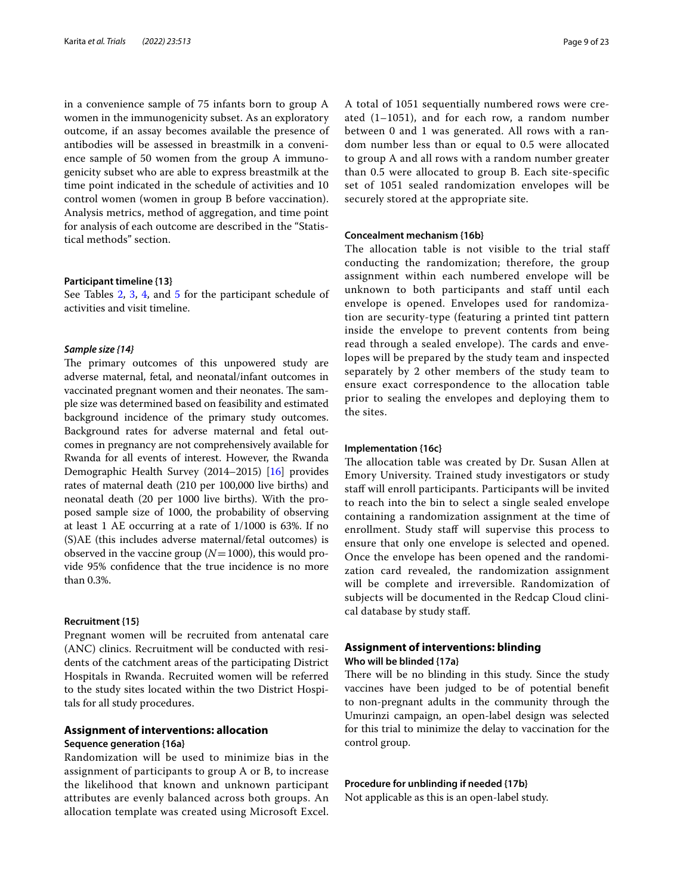in a convenience sample of 75 infants born to group A women in the immunogenicity subset. As an exploratory outcome, if an assay becomes available the presence of antibodies will be assessed in breastmilk in a convenience sample of 50 women from the group A immunogenicity subset who are able to express breastmilk at the time point indicated in the schedule of activities and 10 control women (women in group B before vaccination). Analysis metrics, method of aggregation, and time point for analysis of each outcome are described in the "Statistical methods" section.

#### **Participant timeline {13}**

See Tables [2,](#page-9-0) [3](#page-12-0), [4](#page-15-0), and [5](#page-16-0) for the participant schedule of activities and visit timeline.

#### *Sample size {14}*

The primary outcomes of this unpowered study are adverse maternal, fetal, and neonatal/infant outcomes in vaccinated pregnant women and their neonates. The sample size was determined based on feasibility and estimated background incidence of the primary study outcomes. Background rates for adverse maternal and fetal outcomes in pregnancy are not comprehensively available for Rwanda for all events of interest. However, the Rwanda Demographic Health Survey (2014–2015) [[16](#page-22-1)] provides rates of maternal death (210 per 100,000 live births) and neonatal death (20 per 1000 live births). With the proposed sample size of 1000, the probability of observing at least 1 AE occurring at a rate of 1/1000 is 63%. If no (S)AE (this includes adverse maternal/fetal outcomes) is observed in the vaccine group  $(N=1000)$ , this would provide 95% confdence that the true incidence is no more than 0.3%.

#### **Recruitment {15}**

Pregnant women will be recruited from antenatal care (ANC) clinics. Recruitment will be conducted with residents of the catchment areas of the participating District Hospitals in Rwanda. Recruited women will be referred to the study sites located within the two District Hospitals for all study procedures.

#### **Assignment of interventions: allocation**

#### **Sequence generation {16a}**

Randomization will be used to minimize bias in the assignment of participants to group A or B, to increase the likelihood that known and unknown participant attributes are evenly balanced across both groups. An allocation template was created using Microsoft Excel. A total of 1051 sequentially numbered rows were created (1–1051), and for each row, a random number between 0 and 1 was generated. All rows with a random number less than or equal to 0.5 were allocated to group A and all rows with a random number greater than 0.5 were allocated to group B. Each site-specific set of 1051 sealed randomization envelopes will be securely stored at the appropriate site.

#### **Concealment mechanism {16b}**

The allocation table is not visible to the trial staff conducting the randomization; therefore, the group assignment within each numbered envelope will be unknown to both participants and staff until each envelope is opened. Envelopes used for randomization are security-type (featuring a printed tint pattern inside the envelope to prevent contents from being read through a sealed envelope). The cards and envelopes will be prepared by the study team and inspected separately by 2 other members of the study team to ensure exact correspondence to the allocation table prior to sealing the envelopes and deploying them to the sites.

#### **Implementation {16c}**

The allocation table was created by Dr. Susan Allen at Emory University. Trained study investigators or study staf will enroll participants. Participants will be invited to reach into the bin to select a single sealed envelope containing a randomization assignment at the time of enrollment. Study staff will supervise this process to ensure that only one envelope is selected and opened. Once the envelope has been opened and the randomization card revealed, the randomization assignment will be complete and irreversible. Randomization of subjects will be documented in the Redcap Cloud clinical database by study staf.

# **Assignment of interventions: blinding Who will be blinded {17a}**

There will be no blinding in this study. Since the study vaccines have been judged to be of potential beneft to non-pregnant adults in the community through the Umurinzi campaign, an open-label design was selected for this trial to minimize the delay to vaccination for the control group.

#### **Procedure for unblinding if needed {17b}**

Not applicable as this is an open-label study.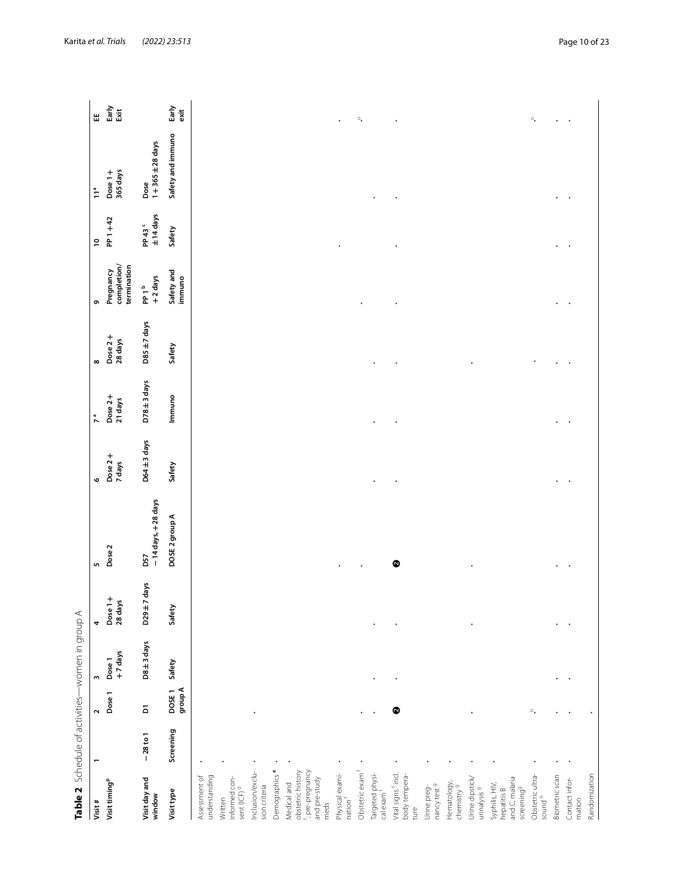<span id="page-9-0"></span>

| Table 2 Schedule of activities-women in group A                          |            |                         |                   |                    |                                         |                   |                    |                    |                                         |                                |                           |                      |
|--------------------------------------------------------------------------|------------|-------------------------|-------------------|--------------------|-----------------------------------------|-------------------|--------------------|--------------------|-----------------------------------------|--------------------------------|---------------------------|----------------------|
| Visit#                                                                   |            | $\sim$                  | $\mathsf{m}$      | 4                  | 5                                       | $\bullet$         | n <sup>a</sup>     | $\infty$           | G                                       | $\overline{a}$                 | 11 <sup>a</sup>           | 뿝                    |
| Visit timing <sup>p</sup>                                                |            | Dose 1                  | +7 days<br>Dose 1 | Dose 1+<br>28 days | Dose <sub>2</sub>                       | Dose 2+<br>7 days | Dose 2+<br>21 days | Dose 2+<br>28 days | completion/<br>termination<br>Pregnancy | PP 1+42                        | 365 days<br>Dose 1+       | Early<br>์<br>ธี     |
| Visit day and<br>window                                                  | $-28$ to 1 | $\overline{\mathbf{d}}$ | D8 ± 3 days       | $D29 \pm 7$ days   | - 14 days, + 28 days<br>D <sub>57</sub> | D64±3 days        | D78±3 days         | $DS + 7$ days      | +2 days<br>PP 1 <sup>b</sup>            | ±14 days<br>PP 43 <sup>c</sup> | $1+365\pm28$ days<br>Dose |                      |
| Visit type                                                               | Screening  | group A<br>DOSE1        | Safety            | Safety             | DOSE 2 group A                          | Safety            | Immuno             | Safety             | Safety and<br>immuno                    | Safety                         | Safety and immuno         | Early<br>exit        |
| understanding<br>Assessment of                                           |            |                         |                   |                    |                                         |                   |                    |                    |                                         |                                |                           |                      |
| informed con-<br>sent (ICF) <sup>d</sup><br>Written                      |            |                         |                   |                    |                                         |                   |                    |                    |                                         |                                |                           |                      |
| Inclusion/exclu-<br>sion criteria                                        |            |                         |                   |                    |                                         |                   |                    |                    |                                         |                                |                           |                      |
| Demographics                                                             |            |                         |                   |                    |                                         |                   |                    |                    |                                         |                                |                           |                      |
| obstetric history<br>Medical and                                         |            |                         |                   |                    |                                         |                   |                    |                    |                                         |                                |                           |                      |
| f; pre-pregnancy<br>and pre-study<br>meds                                |            |                         |                   |                    |                                         |                   |                    |                    |                                         |                                |                           |                      |
| Physical exami-<br>nation f                                              |            |                         |                   |                    |                                         |                   |                    |                    |                                         |                                |                           | $\ddot{\phantom{0}}$ |
| Obstetric exam                                                           |            |                         |                   |                    |                                         |                   |                    |                    |                                         |                                |                           | $\circ_\bullet$      |
| Targeted physi-<br>cal exam f                                            |            |                         |                   |                    |                                         |                   |                    |                    |                                         |                                |                           |                      |
| Vital signs <sup>f</sup> incl.<br>body tempera-<br>ture                  |            | ◎                       |                   |                    | $\bullet$                               |                   |                    |                    |                                         |                                |                           |                      |
| nancy test 9<br>Urine preg-                                              |            |                         |                   |                    |                                         |                   |                    |                    |                                         |                                |                           |                      |
| Hematology,<br>chemistry <sup>9</sup>                                    |            |                         |                   |                    |                                         |                   |                    |                    |                                         |                                |                           |                      |
| Urine dipstick/<br>urinalysis <sup>9</sup>                               |            |                         |                   |                    |                                         |                   |                    |                    |                                         |                                |                           |                      |
| and C, malaria<br>Syphilis, HIV<br>screening <sup>9</sup><br>hepatitis B |            |                         |                   |                    |                                         |                   |                    |                    |                                         |                                |                           |                      |
| Obstetric ultra-<br>sound <sup>h</sup>                                   |            | ∸.                      |                   |                    |                                         |                   |                    |                    |                                         |                                |                           | $\circ_\bullet$      |
| Biometric scan                                                           |            |                         |                   |                    |                                         |                   |                    |                    |                                         |                                |                           | $\ddot{\phantom{0}}$ |
| Contact infor-<br>mation                                                 |            |                         |                   |                    |                                         |                   |                    |                    |                                         |                                |                           |                      |
| Randomization                                                            |            |                         |                   |                    |                                         |                   |                    |                    |                                         |                                |                           |                      |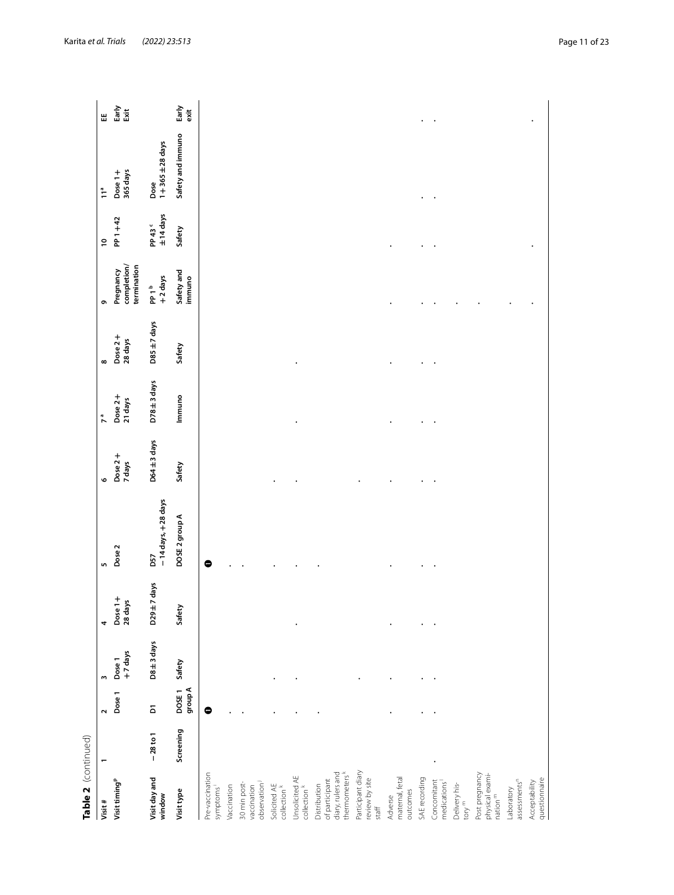| Table 2 (continued)                                                 |            |                         |                   |                    |                             |                   |                    |                    |                                                          |                                |                           |               |
|---------------------------------------------------------------------|------------|-------------------------|-------------------|--------------------|-----------------------------|-------------------|--------------------|--------------------|----------------------------------------------------------|--------------------------------|---------------------------|---------------|
| Visit#                                                              |            | $\mathbf{\tilde{c}}$    |                   | 4                  | LO.                         | O                 | 7 <sup>a</sup>     | $\infty$           | ō                                                        | $\overline{c}$                 | $\tilde{1}^a$             | Ш             |
| Visit timing <sup>p</sup>                                           |            | Dose 1                  | +7 days<br>Dose 1 | Dose 1+<br>28 days | Dose <sub>2</sub>           | Dose 2+<br>7 days | Dose 2+<br>21 days | Dose 2+<br>28 days | completion/<br>termination<br>Pregnancy                  | PP 1+42                        | 365 days<br>Dose $1 +$    | Early<br>Exit |
| Visit day and<br>window                                             | $-28$ to 1 | $\overline{\mathbf{d}}$ | D8 ± 3 days       | D29±7 days         | - 14 days, + 28 days<br>D57 | D64±3 days        | $D78 \pm 3$ days   | $DS \pm 7$ days    | +2 days<br>$\mathsf{P} \mathsf{P} \mathsf{1}^\mathsf{b}$ | ±14 days<br>PP 43 <sup>c</sup> | $1+365\pm28$ days<br>Dose |               |
| Visit type                                                          | Screening  | group A<br>DOSE1        | Safety            | Safety             | DOSE 2 group A              | Safety            | Immuno             | Safety             | Safety and<br>immuno                                     | Safety                         | Safety and immuno         | Early<br>exit |
| Pre-vaccination<br>symptoms                                         |            | $\bullet$               |                   |                    | 0                           |                   |                    |                    |                                                          |                                |                           |               |
| Vaccination                                                         |            |                         |                   |                    |                             |                   |                    |                    |                                                          |                                |                           |               |
| observation<br>30 min post-<br>vaccination                          |            |                         |                   |                    |                             |                   |                    |                    |                                                          |                                |                           |               |
| Solicited AE<br>collection <sup>k</sup>                             |            |                         |                   |                    |                             |                   |                    |                    |                                                          |                                |                           |               |
| Unsolicited AE<br>collection <sup>k</sup>                           |            |                         |                   |                    |                             |                   |                    |                    |                                                          |                                |                           |               |
| diary, rulers and<br>thermometers<br>of participant<br>Distribution |            |                         |                   |                    |                             |                   |                    |                    |                                                          |                                |                           |               |
| Participant diary<br>review by site<br>staff                        |            |                         |                   |                    |                             |                   |                    |                    |                                                          |                                |                           |               |
| maternal, fetal<br>outcomes<br>Adverse                              |            |                         |                   |                    |                             |                   |                    |                    |                                                          |                                |                           |               |
| SAE recording                                                       |            |                         |                   |                    |                             |                   |                    |                    |                                                          |                                |                           |               |
| Concomitant<br>medications                                          |            |                         |                   |                    |                             |                   |                    |                    |                                                          |                                |                           |               |
| Delivery his-<br>tory <sup>m</sup>                                  |            |                         |                   |                    |                             |                   |                    |                    |                                                          |                                |                           |               |
| Post pregnancy<br>physical exami-<br>nation $^{\rm m}$              |            |                         |                   |                    |                             |                   |                    |                    |                                                          |                                |                           |               |
| assessments <sup>n</sup><br>Laboratory                              |            |                         |                   |                    |                             |                   |                    |                    |                                                          |                                |                           |               |
| questionnaire<br>Acceptability                                      |            |                         |                   |                    |                             |                   |                    |                    |                                                          |                                |                           |               |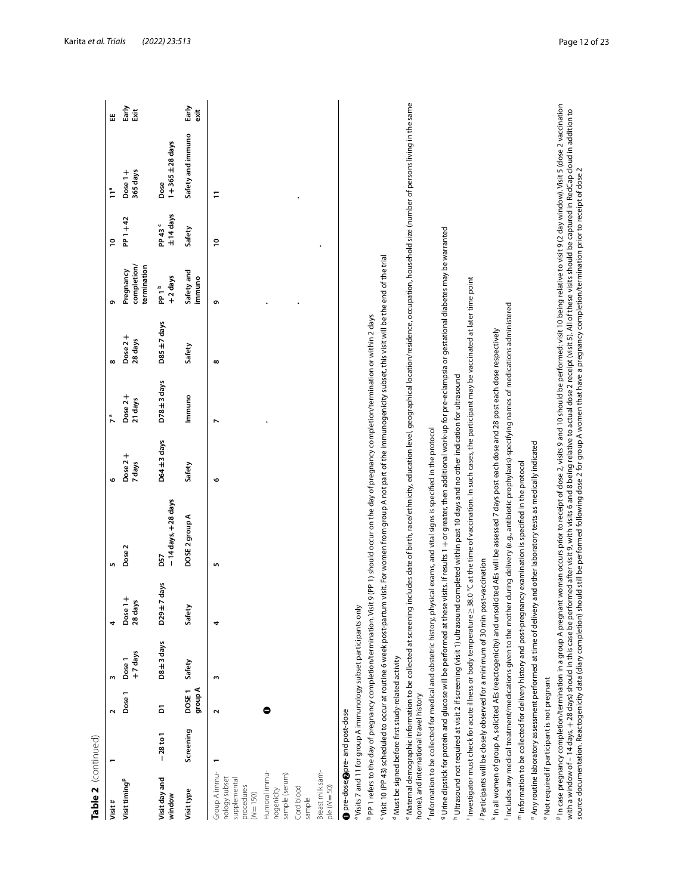| Table 2 (continued)                                                                                                                   |            |                              |                  |                     |                                                                                                                                                                                                                                                                                                                                                                                                                                                                                                                                                                                                                                                                                |                   |                       |                       |                                         |                                  |                           |               |
|---------------------------------------------------------------------------------------------------------------------------------------|------------|------------------------------|------------------|---------------------|--------------------------------------------------------------------------------------------------------------------------------------------------------------------------------------------------------------------------------------------------------------------------------------------------------------------------------------------------------------------------------------------------------------------------------------------------------------------------------------------------------------------------------------------------------------------------------------------------------------------------------------------------------------------------------|-------------------|-----------------------|-----------------------|-----------------------------------------|----------------------------------|---------------------------|---------------|
| Visit#                                                                                                                                |            | $\sim$                       | m                | 4                   | 5                                                                                                                                                                                                                                                                                                                                                                                                                                                                                                                                                                                                                                                                              | o                 | 7 <sup>a</sup>        | $\infty$              | ō                                       | ຸຂ                               | 11 <sup>a</sup>           | 出             |
| Visit timing <sup>p</sup>                                                                                                             |            | Dose <sub>1</sub>            | +7 days<br>Dose1 | Dose 1+<br>28 days  | Dose <sub>2</sub>                                                                                                                                                                                                                                                                                                                                                                                                                                                                                                                                                                                                                                                              | Dose 2+<br>7 days | Dose $2 +$<br>21 days | Dose $2 +$<br>28 days | completion/<br>termination<br>Pregnancy | PP 1+42                          | 365 days<br>Dose 1+       | Early<br>ă    |
| Visit day and<br>window                                                                                                               | $-28$ to 1 | δ                            | $D8 \pm 3$ days  | days<br>$D29 \pm 7$ | - 14 days, + 28 days<br>D57                                                                                                                                                                                                                                                                                                                                                                                                                                                                                                                                                                                                                                                    | $D64 \pm 3$ days  | $D78 \pm 3$ days      | $DS5 \pm 7$ days      | +2 days<br>PP <sub>1</sub> b            | $±14$ days<br>PP 43 <sup>c</sup> | $1+365\pm28$ days<br>Dose |               |
| Visit type                                                                                                                            | Screening  | group A<br>DOSE <sub>1</sub> | Safety           | Safety              | DOSE 2 group A                                                                                                                                                                                                                                                                                                                                                                                                                                                                                                                                                                                                                                                                 | Safety            | Immuno                | Safety                | Safety and<br>immuno                    | Safety                           | Safety and immuno         | Early<br>exit |
| Group A immu-<br>nology subset<br>supplemental<br>procedures<br>$(N = 150)$                                                           |            | Σ                            | m                | 4                   | S                                                                                                                                                                                                                                                                                                                                                                                                                                                                                                                                                                                                                                                                              | o                 | $\overline{ }$        | $\infty$              | ç                                       | ≘                                | Ξ                         |               |
| Humoral immu-<br>sample (serum)<br>Cord blood<br>nogenicity<br>sample                                                                 |            | C                            |                  |                     |                                                                                                                                                                                                                                                                                                                                                                                                                                                                                                                                                                                                                                                                                |                   |                       |                       |                                         |                                  |                           |               |
| Breast milk sam-<br>$ple(N = 50)$                                                                                                     |            |                              |                  |                     |                                                                                                                                                                                                                                                                                                                                                                                                                                                                                                                                                                                                                                                                                |                   |                       |                       |                                         |                                  |                           |               |
| <b>O</b> pre-dose; <b>@</b> pre- and post-dose                                                                                        |            |                              |                  |                     |                                                                                                                                                                                                                                                                                                                                                                                                                                                                                                                                                                                                                                                                                |                   |                       |                       |                                         |                                  |                           |               |
| <sup>a</sup> Visits 7 and 11 for group A immunology subset participants only                                                          |            |                              |                  |                     |                                                                                                                                                                                                                                                                                                                                                                                                                                                                                                                                                                                                                                                                                |                   |                       |                       |                                         |                                  |                           |               |
| <sup>b</sup> PP 1 refers to the day of pregnancy completion/termination. Visit                                                        |            |                              |                  |                     | 9 (PP 1) should occur on the day of pregnancy completion/termination or within 2 days                                                                                                                                                                                                                                                                                                                                                                                                                                                                                                                                                                                          |                   |                       |                       |                                         |                                  |                           |               |
| "Visit 10 (PP 43) scheduled to occur at routine 6 week post-partum<br><sup>d</sup> Must be signed before first study-related activity |            |                              |                  |                     | visit. For women from group A not part of the immunogenicity subset, this visit will be the end of the trial                                                                                                                                                                                                                                                                                                                                                                                                                                                                                                                                                                   |                   |                       |                       |                                         |                                  |                           |               |
| home), and international travel history                                                                                               |            |                              |                  |                     | "Maternal demographic information to be collected at screening includes date of birth, race/ethnicty, education level, geographical location/residence, occupation, household size (number of persons living in the same                                                                                                                                                                                                                                                                                                                                                                                                                                                       |                   |                       |                       |                                         |                                  |                           |               |
| Information to be collected for medical and obstetric history, phy                                                                    |            |                              |                  |                     | sical exams, and vital signs is specified in the protocol                                                                                                                                                                                                                                                                                                                                                                                                                                                                                                                                                                                                                      |                   |                       |                       |                                         |                                  |                           |               |
|                                                                                                                                       |            |                              |                  |                     | 9 Urine dipstick for protein and glucose will be performed at these visits. If results 1 + or greate, then additional work-up for pre-eclampsia or gestational diabetes may be warranted                                                                                                                                                                                                                                                                                                                                                                                                                                                                                       |                   |                       |                       |                                         |                                  |                           |               |
| <sup>h</sup> Ultrasound not required at visit 2 if screening (visit 1) ultrasound                                                     |            |                              |                  |                     | completed within past 10 days and no other indication for ultrasound                                                                                                                                                                                                                                                                                                                                                                                                                                                                                                                                                                                                           |                   |                       |                       |                                         |                                  |                           |               |
|                                                                                                                                       |            |                              |                  |                     | Investigator must check for acute illness or body temperature ≥ 38.0 °C at the time of vaccination. In such cases, the participant may be vaccinated at later time point                                                                                                                                                                                                                                                                                                                                                                                                                                                                                                       |                   |                       |                       |                                         |                                  |                           |               |
| Participants will be closely observed for a minimum of 30 min post-vaccination                                                        |            |                              |                  |                     |                                                                                                                                                                                                                                                                                                                                                                                                                                                                                                                                                                                                                                                                                |                   |                       |                       |                                         |                                  |                           |               |
|                                                                                                                                       |            |                              |                  |                     | In all women of group A, solicited AEs (reactogenicity) and unsolicited AEs will be assessed 7 days post each dose and 28 post each dose respectively                                                                                                                                                                                                                                                                                                                                                                                                                                                                                                                          |                   |                       |                       |                                         |                                  |                           |               |
| Includes any medical treatment/medications given to the mother                                                                        |            |                              |                  |                     | during delivery (e.g., antibiotic prophylaxis)-specifying names of medications administered                                                                                                                                                                                                                                                                                                                                                                                                                                                                                                                                                                                    |                   |                       |                       |                                         |                                  |                           |               |
| " Any routine laboratory assessment performed at time of delivery                                                                     |            |                              |                  |                     | and other laboratory tests as medically indicated<br>$^{\mathsf{m}}$ Information to be collected for delivery history and post-pregnancy examination is specified in the protocol                                                                                                                                                                                                                                                                                                                                                                                                                                                                                              |                   |                       |                       |                                         |                                  |                           |               |
| <sup>o</sup> Not required if participant is not pregnant                                                                              |            |                              |                  |                     |                                                                                                                                                                                                                                                                                                                                                                                                                                                                                                                                                                                                                                                                                |                   |                       |                       |                                         |                                  |                           |               |
|                                                                                                                                       |            |                              |                  |                     | <sup>p</sup> In case pregnancy completion/termination in a group A pregnant woman occurs prior to receipt of dose 2, visits 9 and 10 should be performed: visit 10 being relative to visit 9 (2 day window). Visit 5 (dose 2 vaccinatio<br>with a window of – 14 days, + 28 days) should in this case be performed after vist ty, with visits 6 and 8 being relative to actual dose 2 receipt (visit 5). All of these visits should be captured in RedCap cloud in additi<br>source documentation. Reactogenicity data (diary completion) should still be performed following dose 2 for group A women that have a pregnancy completion/termination prior to receipt of dose 2 |                   |                       |                       |                                         |                                  |                           |               |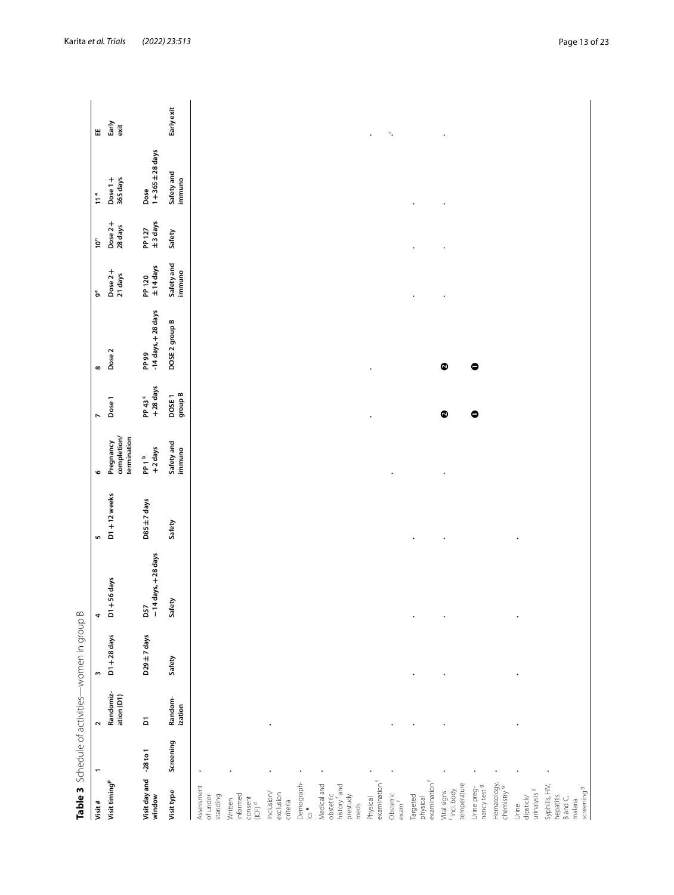<span id="page-12-0"></span>

|                                                                                                 |           |                         | Table 3 Schedule of activities-women in group B |                               |                 |                                         |                                |                                 |                              |                      |                               |                 |
|-------------------------------------------------------------------------------------------------|-----------|-------------------------|-------------------------------------------------|-------------------------------|-----------------|-----------------------------------------|--------------------------------|---------------------------------|------------------------------|----------------------|-------------------------------|-----------------|
| Visit #                                                                                         |           | $\sim$                  | $\overline{\phantom{a}}$                        | 4                             | LO.             | $\circ$                                 | $\overline{ }$                 | $\infty$                        | ზ                            | $\bar{\rho}^{\rm c}$ | $\frac{a}{11}$                | Ш               |
| Visit timing <sup>p</sup>                                                                       |           | Randomiz-<br>ation (D1) | $D1 + 28$ days                                  | $DT + 56$ days                | $D1 + 12$ weeks | completion/<br>termination<br>Pregnancy | Dose 1                         | Dose <sub>2</sub>               | Dose 2+<br>21 days           | Dose 2+<br>28 days   | 365 days<br>Dose $1+$         | Early<br>exit   |
| Visit day and -28 to 1<br>window                                                                |           | $\overline{\mathbf{a}}$ | D29 ±7 days                                     | $-14$ days, $+28$ days<br>D57 | D85 ±7 days     | +2 days<br>PP 1 <sup>b</sup>            | +28 days<br>PP 43 <sup>c</sup> | $-14$ days, $+28$ days<br>PP 99 | $±14 \text{ days}$<br>PP 120 | ±3 days<br>PP 127    | $1 + 365 \pm 28$ days<br>Dose |                 |
| Visit type                                                                                      | Screening | Random-<br>ization      | Safety                                          | Safety                        | Safety          | Safety and<br>immuno                    | group B<br>DOSE <sub>1</sub>   | DOSE 2 group B                  | Safety and<br>immuno         | Safety               | Safety and<br>immuno          | Early exit      |
| Assessment<br>of under-<br>standing                                                             |           |                         |                                                 |                               |                 |                                         |                                |                                 |                              |                      |                               |                 |
| informed<br>$\begin{array}{c} \text{constant} \\ \text{(CF)}^{\text{d}} \end{array}$<br>Written |           |                         |                                                 |                               |                 |                                         |                                |                                 |                              |                      |                               |                 |
| Inclusion/<br>exclusion<br>criteria                                                             |           |                         |                                                 |                               |                 |                                         |                                |                                 |                              |                      |                               |                 |
| Demograph-<br>ics <sup>e</sup>                                                                  |           |                         |                                                 |                               |                 |                                         |                                |                                 |                              |                      |                               |                 |
| Medical and<br>history f and<br>obstetric<br>prestudy<br>meds                                   |           |                         |                                                 |                               |                 |                                         |                                |                                 |                              |                      |                               |                 |
| examination <sup>f</sup><br>Physical                                                            |           |                         |                                                 |                               |                 |                                         | $\bullet$                      | $\bullet$                       |                              |                      |                               | $\bullet$       |
| Obstetric<br>$exam$ <sup>f</sup>                                                                |           |                         |                                                 |                               |                 |                                         |                                |                                 |                              |                      |                               | $\circ_\bullet$ |
| examination <sup>f</sup><br>Targeted<br>physical                                                |           |                         |                                                 |                               | $\bullet$       |                                         |                                |                                 | $\bullet$                    | $\bullet$            |                               |                 |
| temperature<br><sup>f</sup> incl.body<br>Vital signs                                            |           |                         |                                                 |                               | $\bullet$       |                                         | $\bullet$                      | $\bullet$                       | $\cdot$                      | $\bullet$            | $\cdot$                       |                 |
| nancy test <sup>9</sup><br>Urine preg-                                                          |           |                         |                                                 |                               |                 |                                         | $\bullet$                      | $\bullet$                       |                              |                      |                               |                 |
| Hematology,<br>chemistry <sup>9</sup>                                                           |           |                         |                                                 |                               |                 |                                         |                                |                                 |                              |                      |                               |                 |
| urinalysis <sup>9</sup><br>dipstick<br>Urine                                                    |           |                         |                                                 |                               |                 |                                         |                                |                                 |                              |                      |                               |                 |
| Syphilis, HIV,<br>hepatitis                                                                     |           |                         |                                                 |                               |                 |                                         |                                |                                 |                              |                      |                               |                 |
| Band <sub>C</sub><br>malaria                                                                    |           |                         |                                                 |                               |                 |                                         |                                |                                 |                              |                      |                               |                 |
| screening <sup>9</sup>                                                                          |           |                         |                                                 |                               |                 |                                         |                                |                                 |                              |                      |                               |                 |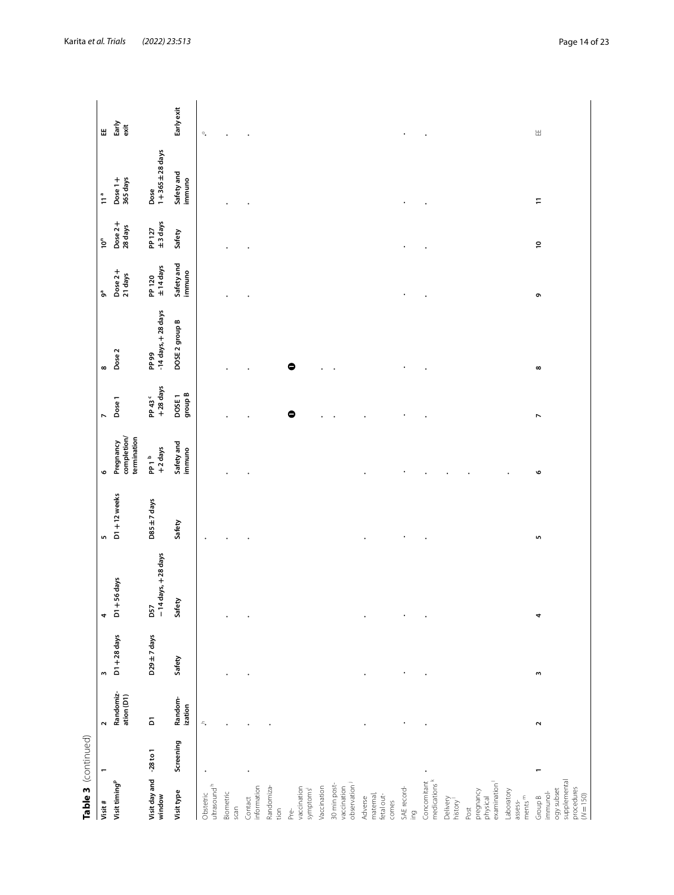| í      |
|--------|
|        |
|        |
|        |
|        |
|        |
|        |
|        |
| ۱<br>ŗ |
| r      |
|        |

| Table 3 (continued)                                                            |                |                         |                  |                               |                 |                                         |                                |                                 |                              |                    |                               |                   |
|--------------------------------------------------------------------------------|----------------|-------------------------|------------------|-------------------------------|-----------------|-----------------------------------------|--------------------------------|---------------------------------|------------------------------|--------------------|-------------------------------|-------------------|
| Visit #                                                                        | $\overline{ }$ | $\sim$                  | m                | 4                             | m               | $\circ$                                 | Z                              | $\infty$                        | ზ                            | $10^n$             | $\tilde{1}$                   | Ш                 |
| Visit timing <sup>p</sup>                                                      |                | Randomiz-<br>ation (D1) | $D1 + 28$ days   | $DT + 56$ days                | $D1 + 12$ weeks | completion/<br>termination<br>Pregnancy | Dose <sub>1</sub>              | Dose <sub>2</sub>               | Dose 2+<br>21 days           | Dose 2+<br>28 days | 365 days<br>Dose $1 +$        | Early<br>$ext{ }$ |
| Visit day and -28 to 1<br>window                                               |                | $\overline{\mathbf{a}}$ | $D29 \pm 7$ days | $-14$ days, $+28$ days<br>D57 | D85 ±7 days     | +2 days<br>pp 1 <sup>b</sup>            | +28 days<br>PP 43 <sup>c</sup> | $-14$ days, $+28$ days<br>PP 99 | $±14 \text{ days}$<br>PP 120 | ±3 days<br>PP 127  | $1 + 365 \pm 28$ days<br>Dose |                   |
| Visit type                                                                     | Screening      | Random-<br>ization      | Safety           | Safety                        | Safety          | Safety and<br>immuno                    | group B<br>DOSE <sub>1</sub>   | DOSE 2 group B                  | Safety and<br>immuno         | Safety             | Safety and<br>immuno          | Early exit        |
| ultrasound <sup>h</sup><br>Obstetric                                           |                | $\epsilon_{\rm s}$      |                  |                               |                 |                                         |                                |                                 |                              |                    |                               | $\circ_{\bullet}$ |
| Biometric<br>scan                                                              |                |                         |                  |                               |                 |                                         |                                |                                 |                              |                    |                               |                   |
| information<br>Contact                                                         |                |                         |                  |                               |                 |                                         |                                |                                 |                              |                    |                               |                   |
| Randomiza-<br>tion                                                             |                |                         |                  |                               |                 |                                         |                                |                                 |                              |                    |                               |                   |
| vaccination<br>symptoms <sup>1</sup><br>Pre-                                   |                |                         |                  |                               |                 |                                         | $\bullet$                      | $\bullet$                       |                              |                    |                               |                   |
| Vaccination                                                                    |                |                         |                  |                               |                 |                                         |                                |                                 |                              |                    |                               |                   |
| 30 min post-<br>observation <sup>1</sup><br>vaccination                        |                |                         |                  |                               |                 |                                         |                                |                                 |                              |                    |                               |                   |
| maternal,<br>fetal out-<br>Adverse<br>comes                                    |                |                         |                  |                               |                 |                                         |                                |                                 |                              |                    |                               |                   |
| SAE record-<br>ing<br>L                                                        |                |                         |                  |                               |                 |                                         |                                |                                 |                              |                    |                               |                   |
| medications <sup>k</sup><br>Concomitant                                        |                |                         |                  |                               |                 |                                         |                                |                                 |                              |                    |                               |                   |
| Delivery<br>history <sup>1</sup>                                               |                |                         |                  |                               |                 |                                         |                                |                                 |                              |                    |                               |                   |
| examination<br>pregnancy<br>physical<br>Post                                   |                |                         |                  |                               |                 |                                         |                                |                                 |                              |                    |                               |                   |
| Laboratory<br>ments $m$<br>assess-                                             |                |                         |                  |                               |                 |                                         |                                |                                 |                              |                    |                               |                   |
| supplemental<br>procedures<br>ogy subset<br>immunol-<br>$(N = 150)$<br>Group B |                | $\sim$                  | w                | 4                             | LN,             | 6                                       | $\overline{ }$                 | $\infty$                        | ō                            | $\overline{c}$     | $\Xi$                         | Ш                 |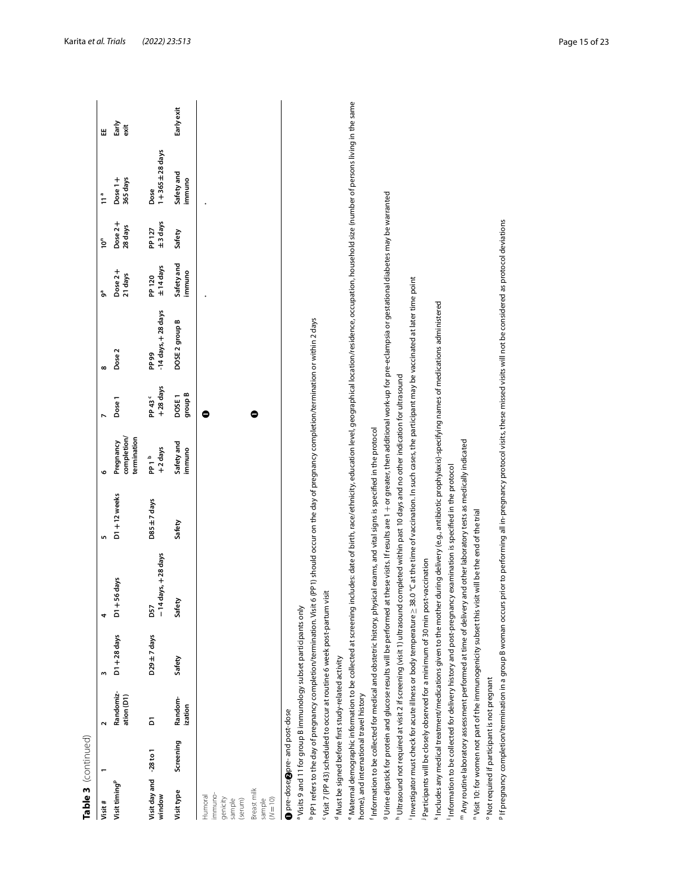| ۴ |
|---|
|   |
|   |
|   |
|   |
| r |
|   |
|   |
|   |
| ī |
|   |

| Table 3 (continued)                 |                                         |                                                                 |                                                                              |                                                                                                                                                                                                                           |                 |                                         |                                |                                                                                                                                    |                              |                    |                               |               |
|-------------------------------------|-----------------------------------------|-----------------------------------------------------------------|------------------------------------------------------------------------------|---------------------------------------------------------------------------------------------------------------------------------------------------------------------------------------------------------------------------|-----------------|-----------------------------------------|--------------------------------|------------------------------------------------------------------------------------------------------------------------------------|------------------------------|--------------------|-------------------------------|---------------|
| Visit#                              |                                         | $\mathbf{\Omega}$                                               | 3                                                                            | 4                                                                                                                                                                                                                         | S.              | o                                       | Z                              | $\infty$                                                                                                                           | ზ                            | ΰ                  | $\frac{a}{1}$                 | Ш             |
| Visit timing <sup>p</sup>           |                                         | Randomiz-<br>ation (D1)                                         | $D1 + 28$ days                                                               | $DI + 56$ days                                                                                                                                                                                                            | $D1 + 12$ weeks | completion/<br>termination<br>Pregnancy | Dose 1                         | Dose <sub>2</sub>                                                                                                                  | Dose 2+<br>21 days           | Dose 2+<br>28 days | 365 days<br>Dose 1+           | Early<br>exit |
| Visit day and -28 to 1<br>window    |                                         | δ                                                               | $D29 \pm 7$ days                                                             | $-14$ days, $+28$ days<br>D57                                                                                                                                                                                             | D85 ±7 days     | +2 days<br>pp 1 <sup>a</sup>            | +28 days<br>PP 43 <sup>c</sup> | $-14$ days, $+28$ days<br>PP 99                                                                                                    | $±14 \text{ days}$<br>PP 120 | ±3 days<br>PP 127  | $1 + 365 \pm 28$ days<br>Dose |               |
| Visit type                          | Screening                               | Random-<br>ization                                              | Safety                                                                       | Safety                                                                                                                                                                                                                    | Safety          | Safety and<br>immuno                    | group B<br>DOSE1               | DOSE 2 group B                                                                                                                     | Safety and<br>immuno         | Safety             | Safety and<br>immuno          | Early exit    |
| immuno-<br>Humoral                  |                                         |                                                                 |                                                                              |                                                                                                                                                                                                                           |                 |                                         | Φ                              |                                                                                                                                    |                              |                    |                               |               |
| sample<br>genicity<br>(serum)       |                                         |                                                                 |                                                                              |                                                                                                                                                                                                                           |                 |                                         |                                |                                                                                                                                    |                              |                    |                               |               |
| Breast milk<br>$(N = 10)$<br>sample |                                         |                                                                 |                                                                              |                                                                                                                                                                                                                           |                 |                                         | 0                              |                                                                                                                                    |                              |                    |                               |               |
|                                     | pre-dose;@pre-and post-dose             |                                                                 |                                                                              |                                                                                                                                                                                                                           |                 |                                         |                                |                                                                                                                                    |                              |                    |                               |               |
|                                     |                                         |                                                                 | <sup>a</sup> Visits 9 and 11 for group B immunology subset participants only |                                                                                                                                                                                                                           |                 |                                         |                                |                                                                                                                                    |                              |                    |                               |               |
|                                     |                                         |                                                                 | PP1 refers to the day of pregnancy completion/termination. Visit             |                                                                                                                                                                                                                           |                 |                                         |                                | 6 (PP1) should occur on the day of pregnancy completion/termination or within 2 days                                               |                              |                    |                               |               |
|                                     |                                         |                                                                 | "Visit 7 (PP 43) scheduled to occur at routine 6 week post-partum visit      |                                                                                                                                                                                                                           |                 |                                         |                                |                                                                                                                                    |                              |                    |                               |               |
|                                     |                                         | <sup>d</sup> Must be signed before first study-related activity |                                                                              |                                                                                                                                                                                                                           |                 |                                         |                                |                                                                                                                                    |                              |                    |                               |               |
|                                     | home), and international travel history |                                                                 |                                                                              | Maternal demographic information to be collected at screening includes: date of birth, race/ethnicity, education level, geographical location/residence, occupation, household size (number of persons living in the same |                 |                                         |                                |                                                                                                                                    |                              |                    |                               |               |
|                                     |                                         |                                                                 |                                                                              | Information to be collected for medical and obstetric history, physical exams, and vital signs is specified in the protocol                                                                                               |                 |                                         |                                |                                                                                                                                    |                              |                    |                               |               |
|                                     |                                         |                                                                 | 9 Urine dipstick for protein and glucose results will be performed           |                                                                                                                                                                                                                           |                 |                                         |                                | at these visits. If results are 1 + or greater, then additional work-up for pre-eclampsia or gestational diabetes may be warranted |                              |                    |                               |               |
|                                     |                                         |                                                                 | h Ultrasound not required at visit 2 if screening (visit 1) ultrasound       | completed within past 10 days and no other indication for ultrasound                                                                                                                                                      |                 |                                         |                                |                                                                                                                                    |                              |                    |                               |               |
|                                     |                                         |                                                                 | Investigator must check for acute illness or body temperature $\geq$ 3       |                                                                                                                                                                                                                           |                 |                                         |                                | 8.0 °C at the time of vaccination. In such cases, the participant may be vaccinated at later time point                            |                              |                    |                               |               |
|                                     |                                         |                                                                 |                                                                              | Participants will be closely observed for a minimum of 30 min post-vaccination                                                                                                                                            |                 |                                         |                                |                                                                                                                                    |                              |                    |                               |               |
|                                     |                                         |                                                                 |                                                                              | $^{\rm k}$ ncludes any medical treatment/medications given to the mother during delivery (e.g., antibiotic prophylaxis)-specifying names of medications administered                                                      |                 |                                         |                                |                                                                                                                                    |                              |                    |                               |               |
|                                     |                                         |                                                                 |                                                                              | Information to be collected for delivery history and post-pregnancy examination is specified in the protocol                                                                                                              |                 |                                         |                                |                                                                                                                                    |                              |                    |                               |               |
|                                     |                                         |                                                                 |                                                                              | $^{\mathsf{m}}$ Any routine laboratory assessment performed at time of delivery and other laboratory tests as medically indicated                                                                                         |                 |                                         |                                |                                                                                                                                    |                              |                    |                               |               |
|                                     |                                         |                                                                 |                                                                              | " Visit 10: for women not part of the immunogenicity subset this visit will be the end of the trial                                                                                                                       |                 |                                         |                                |                                                                                                                                    |                              |                    |                               |               |
|                                     |                                         | <sup>o</sup> Not required if participant is not pregnant        |                                                                              |                                                                                                                                                                                                                           |                 |                                         |                                |                                                                                                                                    |                              |                    |                               |               |
|                                     |                                         |                                                                 |                                                                              | P If pregnancy completion/termination in a group B woman occurs prior to performing all in-pregnancy protocol visits, these missed visits will not be considered as protocol deviations                                   |                 |                                         |                                |                                                                                                                                    |                              |                    |                               |               |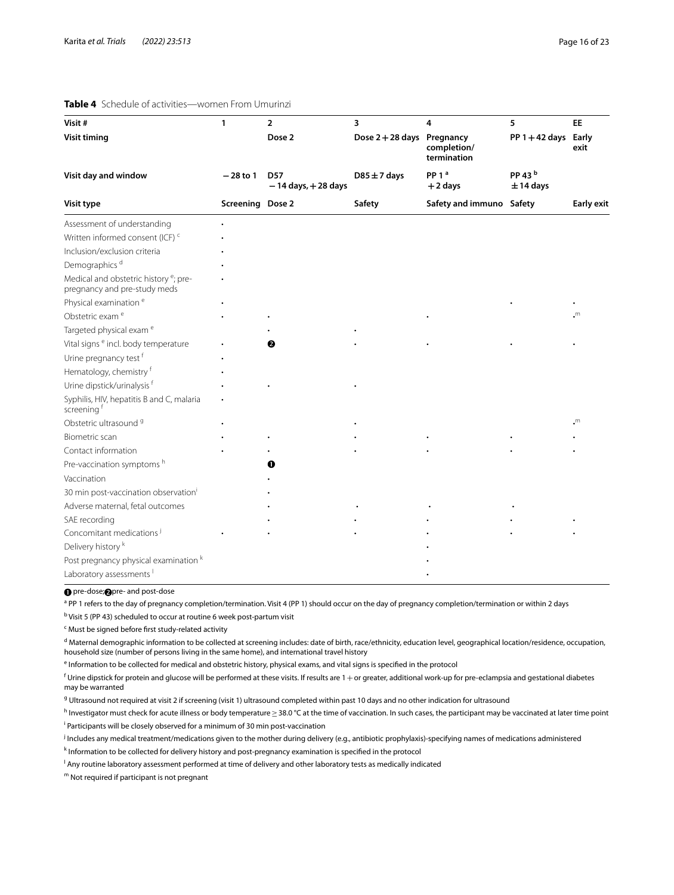#### <span id="page-15-0"></span>**Table 4** Schedule of activities—women From Umurinzi

| Visit#                                                                            | $\mathbf{1}$     | $\overline{2}$                       | 3                        | 4                                         | 5                                 | <b>EE</b>         |
|-----------------------------------------------------------------------------------|------------------|--------------------------------------|--------------------------|-------------------------------------------|-----------------------------------|-------------------|
| <b>Visit timing</b>                                                               |                  | Dose 2                               | Dose 2+28 days Pregnancy | completion/<br>termination                | $PP 1 + 42$ days Early            | exit              |
| Visit day and window                                                              | $-28$ to 1       | <b>D57</b><br>$-14$ days, $+28$ days | $D85 \pm 7$ days         | PP <sub>1</sub> <sup>a</sup><br>$+2$ days | PP 43 <sup>b</sup><br>$± 14$ days |                   |
| Visit type                                                                        | Screening Dose 2 |                                      | Safety                   | Safety and immuno Safety                  |                                   | <b>Early exit</b> |
| Assessment of understanding                                                       |                  |                                      |                          |                                           |                                   |                   |
| Written informed consent (ICF) <sup>c</sup>                                       |                  |                                      |                          |                                           |                                   |                   |
| Inclusion/exclusion criteria                                                      |                  |                                      |                          |                                           |                                   |                   |
| Demographics <sup>d</sup>                                                         |                  |                                      |                          |                                           |                                   |                   |
| Medical and obstetric history <sup>e</sup> ; pre-<br>pregnancy and pre-study meds |                  |                                      |                          |                                           |                                   |                   |
| Physical examination <sup>e</sup>                                                 |                  |                                      |                          |                                           |                                   |                   |
| Obstetric exam <sup>e</sup>                                                       |                  |                                      |                          |                                           |                                   | .m                |
| Targeted physical exam <sup>e</sup>                                               |                  |                                      |                          |                                           |                                   |                   |
| Vital signs <sup>e</sup> incl. body temperature                                   |                  | 0                                    |                          |                                           |                                   |                   |
| Urine pregnancy test f                                                            |                  |                                      |                          |                                           |                                   |                   |
| Hematology, chemistry f                                                           |                  |                                      |                          |                                           |                                   |                   |
| Urine dipstick/urinalysis f                                                       |                  |                                      |                          |                                           |                                   |                   |
| Syphilis, HIV, hepatitis B and C, malaria<br>screening f                          |                  |                                      |                          |                                           |                                   |                   |
| Obstetric ultrasound <sup>9</sup>                                                 |                  |                                      |                          |                                           |                                   | $\cdot^m$         |
| Biometric scan                                                                    |                  |                                      |                          |                                           |                                   |                   |
| Contact information                                                               |                  |                                      |                          |                                           |                                   |                   |
| Pre-vaccination symptoms h                                                        |                  |                                      |                          |                                           |                                   |                   |
| Vaccination                                                                       |                  |                                      |                          |                                           |                                   |                   |
| 30 min post-vaccination observation <sup>i</sup>                                  |                  |                                      |                          |                                           |                                   |                   |
| Adverse maternal, fetal outcomes                                                  |                  |                                      |                          |                                           |                                   |                   |
| SAE recording                                                                     |                  |                                      |                          |                                           |                                   |                   |
| Concomitant medications <sup>j</sup>                                              |                  |                                      |                          |                                           |                                   |                   |
| Delivery history <sup>k</sup>                                                     |                  |                                      |                          |                                           |                                   |                   |
| Post pregnancy physical examination k                                             |                  |                                      |                          |                                           |                                   |                   |
| Laboratory assessments <sup>1</sup>                                               |                  |                                      |                          |                                           |                                   |                   |

**O** pre-dose; **O** pre- and post-dose

<sup>a</sup> PP 1 refers to the day of pregnancy completion/termination. Visit 4 (PP 1) should occur on the day of pregnancy completion/termination or within 2 days

<sup>b</sup> Visit 5 (PP 43) scheduled to occur at routine 6 week post-partum visit

<sup>c</sup> Must be signed before first study-related activity

<sup>d</sup> Maternal demographic information to be collected at screening includes: date of birth, race/ethnicity, education level, geographical location/residence, occupation, household size (number of persons living in the same home), and international travel history

<sup>e</sup> Information to be collected for medical and obstetric history, physical exams, and vital signs is specified in the protocol

 $^{\mathsf{f}}$  Urine dipstick for protein and glucose will be performed at these visits. If results are 1  $+$  or greater, additional work-up for pre-eclampsia and gestational diabetes may be warranted

<sup>g</sup> Ultrasound not required at visit 2 if screening (visit 1) ultrasound completed within past 10 days and no other indication for ultrasound

<sup>h</sup> Investigator must check for acute illness or body temperature≥38.0 °C at the time of vaccination. In such cases, the participant may be vaccinated at later time point <sup>i</sup> Participants will be closely observed for a minimum of 30 min post-vaccination

j Includes any medical treatment/medications given to the mother during delivery (e.g., antibiotic prophylaxis)-specifying names of medications administered

k Information to be collected for delivery history and post-pregnancy examination is specified in the protocol

l Any routine laboratory assessment performed at time of delivery and other laboratory tests as medically indicated

m Not required if participant is not pregnant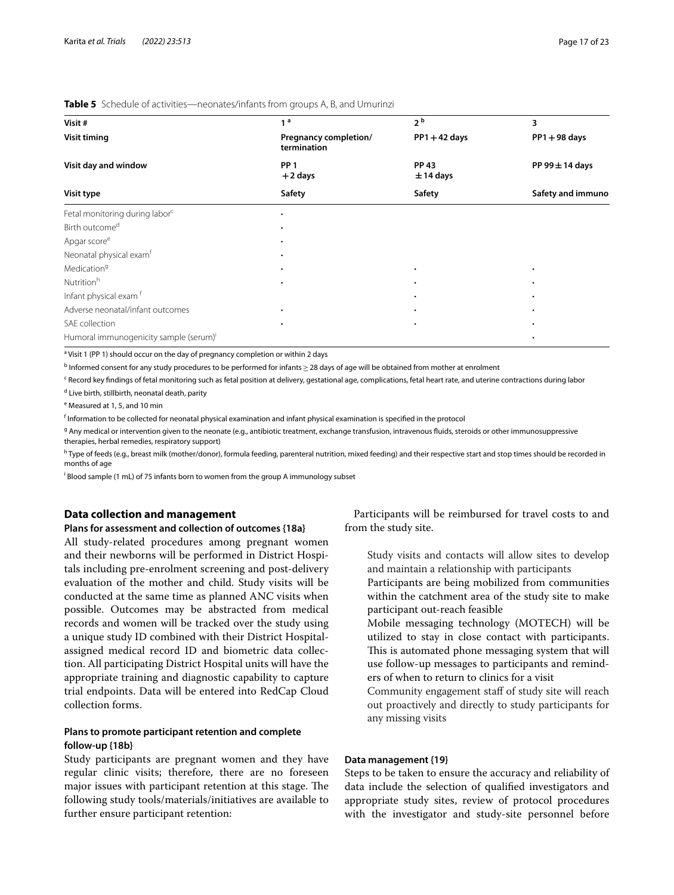#### <span id="page-16-0"></span>**Table 5** Schedule of activities—neonates/infants from groups A, B, and Umurinzi

| Visit#                                             | 1 <sup>a</sup>                       | 2 <sup>b</sup>              | 3                   |
|----------------------------------------------------|--------------------------------------|-----------------------------|---------------------|
| <b>Visit timing</b>                                | Pregnancy completion/<br>termination | $PP1 + 42$ days             | $PP1 + 98$ days     |
| Visit day and window                               | PP <sub>1</sub><br>$+2$ days         | <b>PP 43</b><br>$± 14$ days | PP 99 $\pm$ 14 days |
| Visit type                                         | Safety                               | Safety                      | Safety and immuno   |
| Fetal monitoring during labor <sup>c</sup>         |                                      |                             |                     |
| Birth outcome <sup>d</sup>                         |                                      |                             |                     |
| Apgar score <sup>e</sup>                           |                                      |                             |                     |
| Neonatal physical exam <sup>f</sup>                |                                      |                             |                     |
| Medication <sup>9</sup>                            | ٠                                    | ٠                           | $\bullet$           |
| Nutrition <sup>h</sup>                             |                                      |                             |                     |
| Infant physical exam <sup>f</sup>                  |                                      |                             |                     |
| Adverse neonatal/infant outcomes                   |                                      |                             |                     |
| SAE collection                                     |                                      |                             |                     |
| Humoral immunogenicity sample (serum) <sup>i</sup> |                                      |                             |                     |

<sup>a</sup> Visit 1 (PP 1) should occur on the day of pregnancy completion or within 2 days

<sup>b</sup> Informed consent for any study procedures to be performed for infants≥28 days of age will be obtained from mother at enrolment

<sup>c</sup> Record key findings of fetal monitoring such as fetal position at delivery, gestational age, complications, fetal heart rate, and uterine contractions during labor

<sup>d</sup> Live birth, stillbirth, neonatal death, parity

<sup>e</sup> Measured at 1, 5, and 10 min

 $^{\mathsf{f}}$  Information to be collected for neonatal physical examination and infant physical examination is specified in the protocol

<sup>g</sup> Any medical or intervention given to the neonate (e.g., antibiotic treatment, exchange transfusion, intravenous fluids, steroids or other immunosuppressive therapies, herbal remedies, respiratory support)

h Type of feeds (e.g., breast milk (mother/donor), formula feeding, parenteral nutrition, mixed feeding) and their respective start and stop times should be recorded in months of age

i Blood sample (1 mL) of 75 infants born to women from the group A immunology subset

# **Data collection and management**

#### **Plans for assessment and collection of outcomes {18a}**

All study-related procedures among pregnant women and their newborns will be performed in District Hospitals including pre-enrolment screening and post-delivery evaluation of the mother and child. Study visits will be conducted at the same time as planned ANC visits when possible. Outcomes may be abstracted from medical records and women will be tracked over the study using a unique study ID combined with their District Hospitalassigned medical record ID and biometric data collection. All participating District Hospital units will have the appropriate training and diagnostic capability to capture trial endpoints. Data will be entered into RedCap Cloud collection forms.

# **Plans to promote participant retention and complete follow‑up {18b}**

Study participants are pregnant women and they have regular clinic visits; therefore, there are no foreseen major issues with participant retention at this stage. The following study tools/materials/initiatives are available to further ensure participant retention:

Participants will be reimbursed for travel costs to and from the study site.

- Study visits and contacts will allow sites to develop and maintain a relationship with participants
- Participants are being mobilized from communities within the catchment area of the study site to make participant out-reach feasible
- Mobile messaging technology (MOTECH) will be utilized to stay in close contact with participants. This is automated phone messaging system that will use follow-up messages to participants and reminders of when to return to clinics for a visit
- Community engagement staff of study site will reach out proactively and directly to study participants for any missing visits

#### **Data management {19}**

Steps to be taken to ensure the accuracy and reliability of data include the selection of qualifed investigators and appropriate study sites, review of protocol procedures with the investigator and study-site personnel before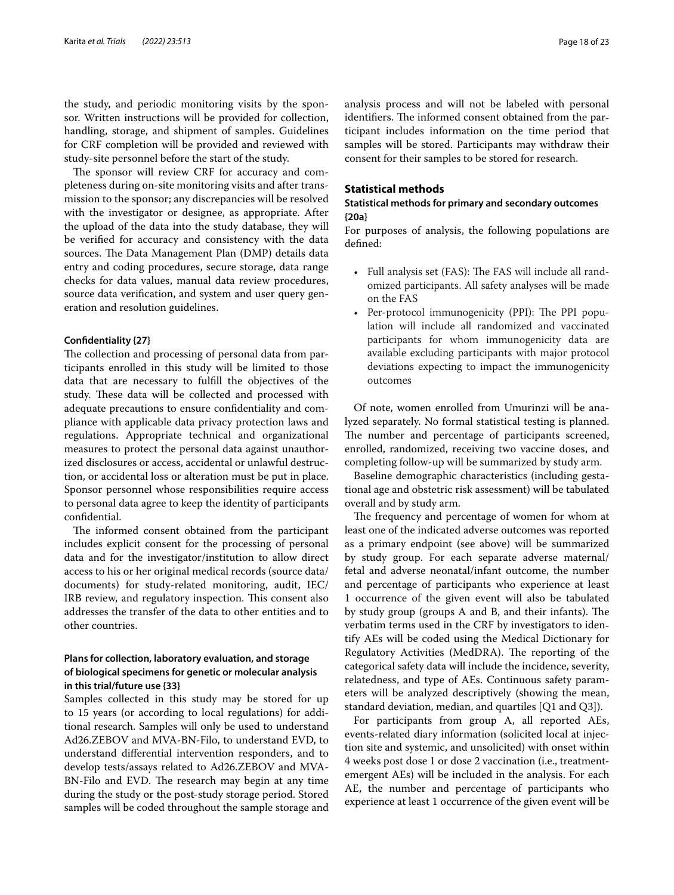the study, and periodic monitoring visits by the sponsor. Written instructions will be provided for collection, handling, storage, and shipment of samples. Guidelines for CRF completion will be provided and reviewed with study-site personnel before the start of the study.

The sponsor will review CRF for accuracy and completeness during on-site monitoring visits and after transmission to the sponsor; any discrepancies will be resolved with the investigator or designee, as appropriate. After the upload of the data into the study database, they will be verifed for accuracy and consistency with the data sources. The Data Management Plan (DMP) details data entry and coding procedures, secure storage, data range checks for data values, manual data review procedures, source data verifcation, and system and user query generation and resolution guidelines.

#### **Confdentiality {27}**

The collection and processing of personal data from participants enrolled in this study will be limited to those data that are necessary to fulfll the objectives of the study. These data will be collected and processed with adequate precautions to ensure confdentiality and compliance with applicable data privacy protection laws and regulations. Appropriate technical and organizational measures to protect the personal data against unauthorized disclosures or access, accidental or unlawful destruction, or accidental loss or alteration must be put in place. Sponsor personnel whose responsibilities require access to personal data agree to keep the identity of participants confdential.

The informed consent obtained from the participant includes explicit consent for the processing of personal data and for the investigator/institution to allow direct access to his or her original medical records (source data/ documents) for study-related monitoring, audit, IEC/ IRB review, and regulatory inspection. This consent also addresses the transfer of the data to other entities and to other countries.

# **Plans for collection, laboratory evaluation, and storage of biological specimens for genetic or molecular analysis in this trial/future use {33}**

Samples collected in this study may be stored for up to 15 years (or according to local regulations) for additional research. Samples will only be used to understand Ad26.ZEBOV and MVA-BN-Filo, to understand EVD, to understand diferential intervention responders, and to develop tests/assays related to Ad26.ZEBOV and MVA-BN-Filo and EVD. The research may begin at any time during the study or the post-study storage period. Stored samples will be coded throughout the sample storage and analysis process and will not be labeled with personal identifiers. The informed consent obtained from the participant includes information on the time period that samples will be stored. Participants may withdraw their consent for their samples to be stored for research.

## **Statistical methods**

# **Statistical methods for primary and secondary outcomes {20a}**

For purposes of analysis, the following populations are defned:

- Full analysis set (FAS): The FAS will include all randomized participants. All safety analyses will be made on the FAS
- Per-protocol immunogenicity (PPI): The PPI population will include all randomized and vaccinated participants for whom immunogenicity data are available excluding participants with major protocol deviations expecting to impact the immunogenicity outcomes

Of note, women enrolled from Umurinzi will be analyzed separately. No formal statistical testing is planned. The number and percentage of participants screened, enrolled, randomized, receiving two vaccine doses, and completing follow-up will be summarized by study arm.

Baseline demographic characteristics (including gestational age and obstetric risk assessment) will be tabulated overall and by study arm.

The frequency and percentage of women for whom at least one of the indicated adverse outcomes was reported as a primary endpoint (see above) will be summarized by study group. For each separate adverse maternal/ fetal and adverse neonatal/infant outcome, the number and percentage of participants who experience at least 1 occurrence of the given event will also be tabulated by study group (groups A and B, and their infants). The verbatim terms used in the CRF by investigators to identify AEs will be coded using the Medical Dictionary for Regulatory Activities (MedDRA). The reporting of the categorical safety data will include the incidence, severity, relatedness, and type of AEs. Continuous safety parameters will be analyzed descriptively (showing the mean, standard deviation, median, and quartiles [Q1 and Q3]).

For participants from group A, all reported AEs, events-related diary information (solicited local at injection site and systemic, and unsolicited) with onset within 4 weeks post dose 1 or dose 2 vaccination (i.e., treatmentemergent AEs) will be included in the analysis. For each AE, the number and percentage of participants who experience at least 1 occurrence of the given event will be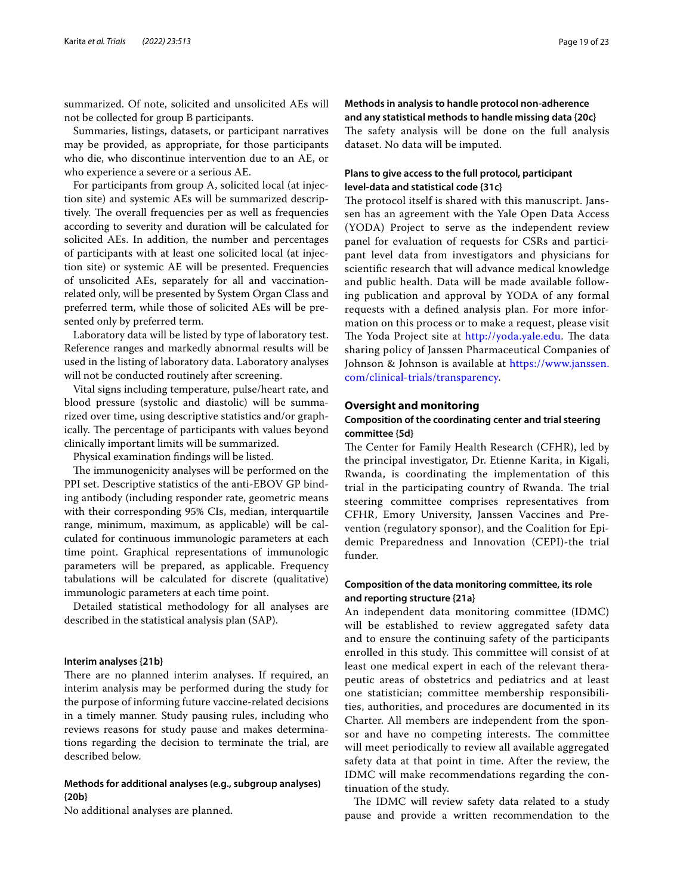summarized. Of note, solicited and unsolicited AEs will not be collected for group B participants.

Summaries, listings, datasets, or participant narratives may be provided, as appropriate, for those participants who die, who discontinue intervention due to an AE, or who experience a severe or a serious AE.

For participants from group A, solicited local (at injection site) and systemic AEs will be summarized descriptively. The overall frequencies per as well as frequencies according to severity and duration will be calculated for solicited AEs. In addition, the number and percentages of participants with at least one solicited local (at injection site) or systemic AE will be presented. Frequencies of unsolicited AEs, separately for all and vaccinationrelated only, will be presented by System Organ Class and preferred term, while those of solicited AEs will be presented only by preferred term.

Laboratory data will be listed by type of laboratory test. Reference ranges and markedly abnormal results will be used in the listing of laboratory data. Laboratory analyses will not be conducted routinely after screening.

Vital signs including temperature, pulse/heart rate, and blood pressure (systolic and diastolic) will be summarized over time, using descriptive statistics and/or graphically. The percentage of participants with values beyond clinically important limits will be summarized.

Physical examination fndings will be listed.

The immunogenicity analyses will be performed on the PPI set. Descriptive statistics of the anti-EBOV GP binding antibody (including responder rate, geometric means with their corresponding 95% CIs, median, interquartile range, minimum, maximum, as applicable) will be calculated for continuous immunologic parameters at each time point. Graphical representations of immunologic parameters will be prepared, as applicable. Frequency tabulations will be calculated for discrete (qualitative) immunologic parameters at each time point.

Detailed statistical methodology for all analyses are described in the statistical analysis plan (SAP).

#### **Interim analyses {21b}**

There are no planned interim analyses. If required, an interim analysis may be performed during the study for the purpose of informing future vaccine-related decisions in a timely manner. Study pausing rules, including who reviews reasons for study pause and makes determinations regarding the decision to terminate the trial, are described below.

# **Methods for additional analyses (e.g., subgroup analyses) {20b}**

No additional analyses are planned.

# **Methods in analysis to handle protocol non‑adherence and any statistical methods to handle missing data {20c}** The safety analysis will be done on the full analysis

dataset. No data will be imputed.

# **Plans to give access to the full protocol, participant level‑data and statistical code {31c}**

The protocol itself is shared with this manuscript. Janssen has an agreement with the Yale Open Data Access (YODA) Project to serve as the independent review panel for evaluation of requests for CSRs and participant level data from investigators and physicians for scientifc research that will advance medical knowledge and public health. Data will be made available following publication and approval by YODA of any formal requests with a defned analysis plan. For more information on this process or to make a request, please visit The Yoda Project site at [http://yoda.yale.edu.](http://yoda.yale.edu) The data sharing policy of Janssen Pharmaceutical Companies of Johnson & Johnson is available at [https://www.janssen.](https://www.janssen.com/clinical-trials/transparency) [com/clinical-trials/transparency](https://www.janssen.com/clinical-trials/transparency).

## **Oversight and monitoring**

# **Composition of the coordinating center and trial steering committee {5d}**

The Center for Family Health Research (CFHR), led by the principal investigator, Dr. Etienne Karita, in Kigali, Rwanda, is coordinating the implementation of this trial in the participating country of Rwanda. The trial steering committee comprises representatives from CFHR, Emory University, Janssen Vaccines and Prevention (regulatory sponsor), and the Coalition for Epidemic Preparedness and Innovation (CEPI)-the trial funder.

# **Composition of the data monitoring committee, its role and reporting structure {21a}**

An independent data monitoring committee (IDMC) will be established to review aggregated safety data and to ensure the continuing safety of the participants enrolled in this study. This committee will consist of at least one medical expert in each of the relevant therapeutic areas of obstetrics and pediatrics and at least one statistician; committee membership responsibilities, authorities, and procedures are documented in its Charter. All members are independent from the sponsor and have no competing interests. The committee will meet periodically to review all available aggregated safety data at that point in time. After the review, the IDMC will make recommendations regarding the continuation of the study.

The IDMC will review safety data related to a study pause and provide a written recommendation to the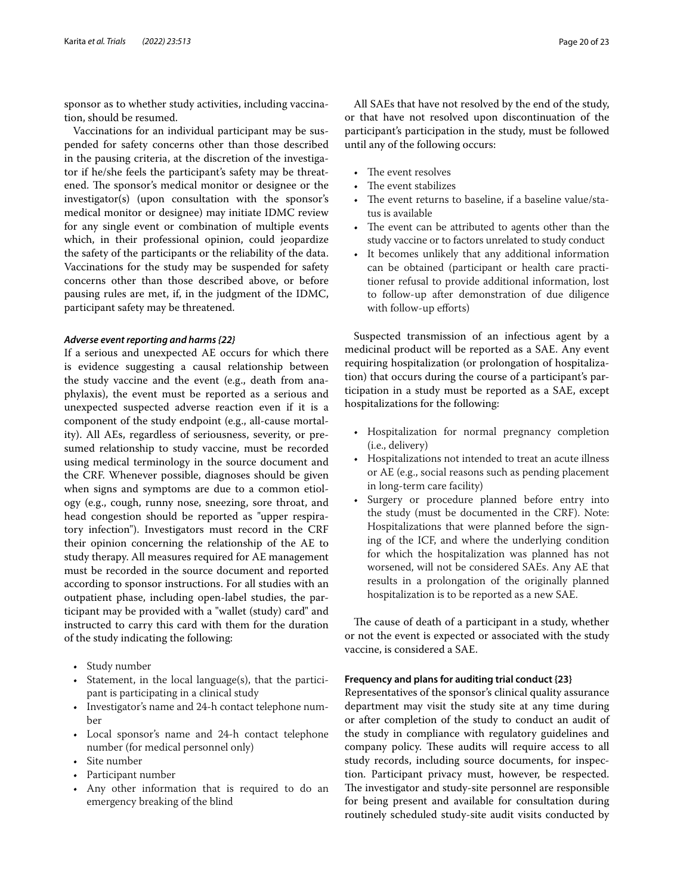sponsor as to whether study activities, including vaccination, should be resumed.

Vaccinations for an individual participant may be suspended for safety concerns other than those described in the pausing criteria, at the discretion of the investigator if he/she feels the participant's safety may be threatened. The sponsor's medical monitor or designee or the investigator(s) (upon consultation with the sponsor's medical monitor or designee) may initiate IDMC review for any single event or combination of multiple events which, in their professional opinion, could jeopardize the safety of the participants or the reliability of the data. Vaccinations for the study may be suspended for safety concerns other than those described above, or before pausing rules are met, if, in the judgment of the IDMC, participant safety may be threatened.

#### *Adverse event reporting and harms {22}*

If a serious and unexpected AE occurs for which there is evidence suggesting a causal relationship between the study vaccine and the event (e.g., death from anaphylaxis), the event must be reported as a serious and unexpected suspected adverse reaction even if it is a component of the study endpoint (e.g., all-cause mortality). All AEs, regardless of seriousness, severity, or presumed relationship to study vaccine, must be recorded using medical terminology in the source document and the CRF. Whenever possible, diagnoses should be given when signs and symptoms are due to a common etiology (e.g., cough, runny nose, sneezing, sore throat, and head congestion should be reported as "upper respiratory infection"). Investigators must record in the CRF their opinion concerning the relationship of the AE to study therapy. All measures required for AE management must be recorded in the source document and reported according to sponsor instructions. For all studies with an outpatient phase, including open-label studies, the participant may be provided with a "wallet (study) card" and instructed to carry this card with them for the duration of the study indicating the following:

- Study number
- Statement, in the local language(s), that the participant is participating in a clinical study
- Investigator's name and 24-h contact telephone number
- Local sponsor's name and 24-h contact telephone number (for medical personnel only)
- Site number
- Participant number
- Any other information that is required to do an emergency breaking of the blind

All SAEs that have not resolved by the end of the study, or that have not resolved upon discontinuation of the participant's participation in the study, must be followed until any of the following occurs:

- The event resolves
- The event stabilizes
- The event returns to baseline, if a baseline value/status is available
- The event can be attributed to agents other than the study vaccine or to factors unrelated to study conduct
- It becomes unlikely that any additional information can be obtained (participant or health care practitioner refusal to provide additional information, lost to follow-up after demonstration of due diligence with follow-up efforts)

Suspected transmission of an infectious agent by a medicinal product will be reported as a SAE. Any event requiring hospitalization (or prolongation of hospitalization) that occurs during the course of a participant's participation in a study must be reported as a SAE, except hospitalizations for the following:

- Hospitalization for normal pregnancy completion (i.e., delivery)
- Hospitalizations not intended to treat an acute illness or AE (e.g., social reasons such as pending placement in long-term care facility)
- Surgery or procedure planned before entry into the study (must be documented in the CRF). Note: Hospitalizations that were planned before the signing of the ICF, and where the underlying condition for which the hospitalization was planned has not worsened, will not be considered SAEs. Any AE that results in a prolongation of the originally planned hospitalization is to be reported as a new SAE.

The cause of death of a participant in a study, whether or not the event is expected or associated with the study vaccine, is considered a SAE.

#### **Frequency and plans for auditing trial conduct {23}**

Representatives of the sponsor's clinical quality assurance department may visit the study site at any time during or after completion of the study to conduct an audit of the study in compliance with regulatory guidelines and company policy. These audits will require access to all study records, including source documents, for inspection. Participant privacy must, however, be respected. The investigator and study-site personnel are responsible for being present and available for consultation during routinely scheduled study-site audit visits conducted by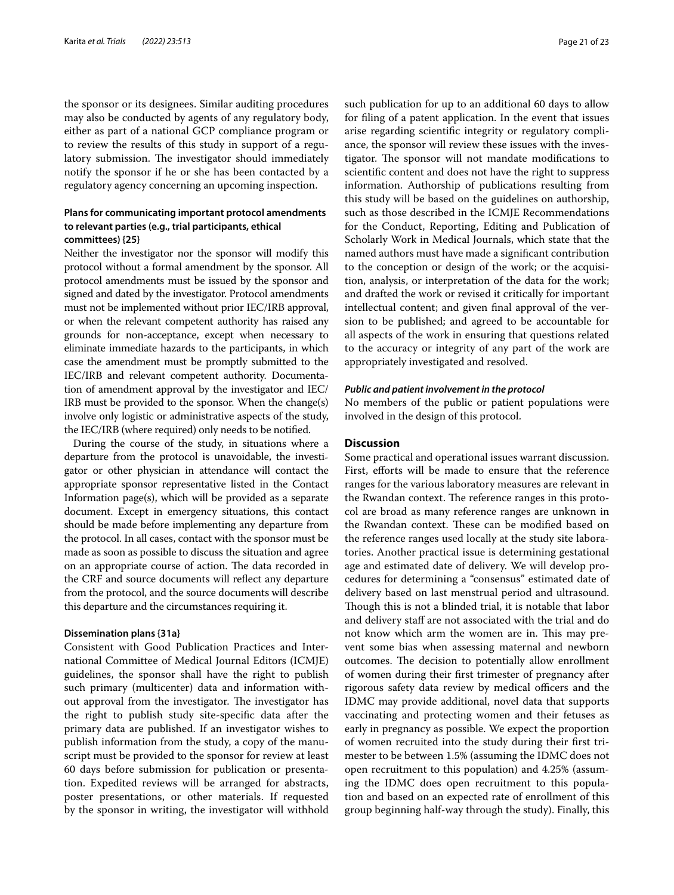the sponsor or its designees. Similar auditing procedures may also be conducted by agents of any regulatory body, either as part of a national GCP compliance program or to review the results of this study in support of a regulatory submission. The investigator should immediately notify the sponsor if he or she has been contacted by a regulatory agency concerning an upcoming inspection.

# **Plans for communicating important protocol amendments to relevant parties (e.g., trial participants, ethical committees) {25}**

Neither the investigator nor the sponsor will modify this protocol without a formal amendment by the sponsor. All protocol amendments must be issued by the sponsor and signed and dated by the investigator. Protocol amendments must not be implemented without prior IEC/IRB approval, or when the relevant competent authority has raised any grounds for non-acceptance, except when necessary to eliminate immediate hazards to the participants, in which case the amendment must be promptly submitted to the IEC/IRB and relevant competent authority. Documentation of amendment approval by the investigator and IEC/ IRB must be provided to the sponsor. When the change(s) involve only logistic or administrative aspects of the study, the IEC/IRB (where required) only needs to be notifed.

During the course of the study, in situations where a departure from the protocol is unavoidable, the investigator or other physician in attendance will contact the appropriate sponsor representative listed in the Contact Information page(s), which will be provided as a separate document. Except in emergency situations, this contact should be made before implementing any departure from the protocol. In all cases, contact with the sponsor must be made as soon as possible to discuss the situation and agree on an appropriate course of action. The data recorded in the CRF and source documents will refect any departure from the protocol, and the source documents will describe this departure and the circumstances requiring it.

#### **Dissemination plans {31a}**

Consistent with Good Publication Practices and International Committee of Medical Journal Editors (ICMJE) guidelines, the sponsor shall have the right to publish such primary (multicenter) data and information without approval from the investigator. The investigator has the right to publish study site-specifc data after the primary data are published. If an investigator wishes to publish information from the study, a copy of the manuscript must be provided to the sponsor for review at least 60 days before submission for publication or presentation. Expedited reviews will be arranged for abstracts, poster presentations, or other materials. If requested by the sponsor in writing, the investigator will withhold such publication for up to an additional 60 days to allow for fling of a patent application. In the event that issues arise regarding scientifc integrity or regulatory compliance, the sponsor will review these issues with the investigator. The sponsor will not mandate modifications to scientifc content and does not have the right to suppress information. Authorship of publications resulting from this study will be based on the guidelines on authorship, such as those described in the ICMJE Recommendations for the Conduct, Reporting, Editing and Publication of Scholarly Work in Medical Journals, which state that the named authors must have made a signifcant contribution to the conception or design of the work; or the acquisition, analysis, or interpretation of the data for the work; and drafted the work or revised it critically for important intellectual content; and given fnal approval of the version to be published; and agreed to be accountable for all aspects of the work in ensuring that questions related to the accuracy or integrity of any part of the work are appropriately investigated and resolved.

#### *Public and patient involvement in the protocol*

No members of the public or patient populations were involved in the design of this protocol.

# **Discussion**

Some practical and operational issues warrant discussion. First, efforts will be made to ensure that the reference ranges for the various laboratory measures are relevant in the Rwandan context. The reference ranges in this protocol are broad as many reference ranges are unknown in the Rwandan context. These can be modified based on the reference ranges used locally at the study site laboratories. Another practical issue is determining gestational age and estimated date of delivery. We will develop procedures for determining a "consensus" estimated date of delivery based on last menstrual period and ultrasound. Though this is not a blinded trial, it is notable that labor and delivery staff are not associated with the trial and do not know which arm the women are in. This may prevent some bias when assessing maternal and newborn outcomes. The decision to potentially allow enrollment of women during their frst trimester of pregnancy after rigorous safety data review by medical officers and the IDMC may provide additional, novel data that supports vaccinating and protecting women and their fetuses as early in pregnancy as possible. We expect the proportion of women recruited into the study during their frst trimester to be between 1.5% (assuming the IDMC does not open recruitment to this population) and 4.25% (assuming the IDMC does open recruitment to this population and based on an expected rate of enrollment of this group beginning half-way through the study). Finally, this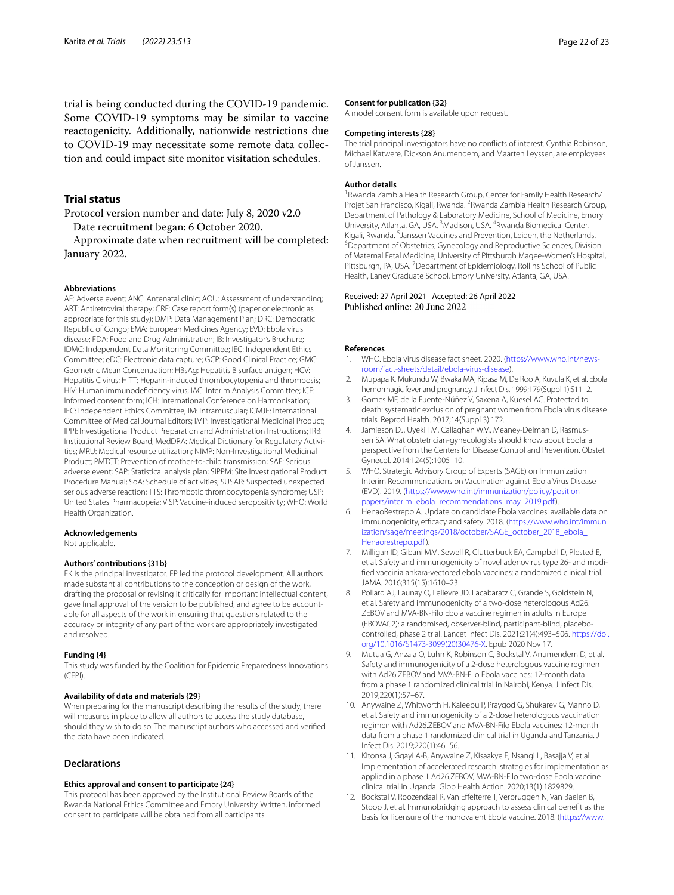trial is being conducted during the COVID-19 pandemic. Some COVID-19 symptoms may be similar to vaccine reactogenicity. Additionally, nationwide restrictions due to COVID-19 may necessitate some remote data collection and could impact site monitor visitation schedules.

# **Trial status**

Protocol version number and date: July 8, 2020 v2.0 Date recruitment began: 6 October 2020.

Approximate date when recruitment will be completed: January 2022.

#### **Abbreviations**

AE: Adverse event; ANC: Antenatal clinic; AOU: Assessment of understanding; ART: Antiretroviral therapy; CRF: Case report form(s) (paper or electronic as appropriate for this study); DMP: Data Management Plan; DRC: Democratic Republic of Congo; EMA: European Medicines Agency; EVD: Ebola virus disease; FDA: Food and Drug Administration; IB: Investigator's Brochure; IDMC: Independent Data Monitoring Committee; IEC: Independent Ethics Committee; eDC: Electronic data capture; GCP: Good Clinical Practice; GMC: Geometric Mean Concentration; HBsAg: Hepatitis B surface antigen; HCV: Hepatitis C virus; HITT: Heparin-induced thrombocytopenia and thrombosis; HIV: Human immunodefciency virus; IAC: Interim Analysis Committee; ICF: Informed consent form; ICH: International Conference on Harmonisation; IEC: Independent Ethics Committee; IM: Intramuscular; ICMJE: International Committee of Medical Journal Editors; IMP: Investigational Medicinal Product; IPPI: Investigational Product Preparation and Administration Instructions; IRB: Institutional Review Board; MedDRA: Medical Dictionary for Regulatory Activities; MRU: Medical resource utilization; NIMP: Non-Investigational Medicinal Product; PMTCT: Prevention of mother-to-child transmission; SAE: Serious adverse event; SAP: Statistical analysis plan; SIPPM: Site Investigational Product Procedure Manual; SoA: Schedule of activities; SUSAR: Suspected unexpected serious adverse reaction; TTS: Thrombotic thrombocytopenia syndrome; USP: United States Pharmacopeia; VISP: Vaccine-induced seropositivity; WHO: World Health Organization.

#### **Acknowledgements**

Not applicable.

#### **Authors' contributions {31b}**

EK is the principal investigator. FP led the protocol development. All authors made substantial contributions to the conception or design of the work, drafting the proposal or revising it critically for important intellectual content, gave fnal approval of the version to be published, and agree to be accountable for all aspects of the work in ensuring that questions related to the accuracy or integrity of any part of the work are appropriately investigated and resolved.

#### **Funding {4}**

This study was funded by the Coalition for Epidemic Preparedness Innovations (CEPI).

#### **Availability of data and materials {29}**

When preparing for the manuscript describing the results of the study, there will measures in place to allow all authors to access the study database, should they wish to do so. The manuscript authors who accessed and verifed the data have been indicated.

#### **Declarations**

#### **Ethics approval and consent to participate {24}**

This protocol has been approved by the Institutional Review Boards of the Rwanda National Ethics Committee and Emory University. Written, informed consent to participate will be obtained from all participants.

#### **Consent for publication {32}**

A model consent form is available upon request.

#### **Competing interests {28}**

The trial principal investigators have no conficts of interest. Cynthia Robinson, Michael Katwere, Dickson Anumendem, and Maarten Leyssen, are employees of Janssen.

#### **Author details**

<sup>1</sup> Rwanda Zambia Health Research Group, Center for Family Health Research/ Projet San Francisco, Kigali, Rwanda. <sup>2</sup> Rwanda Zambia Health Research Group, Department of Pathology & Laboratory Medicine, School of Medicine, Emory University, Atlanta, GA, USA.<sup>3</sup> Madison, USA.<sup>4</sup> Rwanda Biomedical Center, Kigali, Rwanda. <sup>5</sup> Janssen Vaccines and Prevention, Leiden, the Netherlands.<br><sup>6</sup> Department of Obstetrics, Gynecology and Reproductive Sciences, Divisio <sup>6</sup>Department of Obstetrics, Gynecology and Reproductive Sciences, Division of Maternal Fetal Medicine, University of Pittsburgh Magee-Women's Hospital, Pittsburgh, PA, USA.<sup>7</sup> Department of Epidemiology, Rollins School of Public Health, Laney Graduate School, Emory University, Atlanta, GA, USA.

# Received: 27 April 2021 Accepted: 26 April 2022

#### **References**

- <span id="page-21-0"></span>1. WHO. Ebola virus disease fact sheet. 2020. [\(https://www.who.int/news](https://www.who.int/news-room/fact-sheets/detail/ebola-virus-disease)[room/fact-sheets/detail/ebola-virus-disease](https://www.who.int/news-room/fact-sheets/detail/ebola-virus-disease)).
- <span id="page-21-1"></span>2. Mupapa K, Mukundu W, Bwaka MA, Kipasa M, De Roo A, Kuvula K, et al. Ebola hemorrhagic fever and pregnancy. J Infect Dis. 1999;179(Suppl 1):S11–2.
- <span id="page-21-2"></span>Gomes MF, de la Fuente-Núñez V, Saxena A, Kuesel AC. Protected to death: systematic exclusion of pregnant women from Ebola virus disease trials. Reprod Health. 2017;14(Suppl 3):172.
- <span id="page-21-3"></span>4. Jamieson DJ, Uyeki TM, Callaghan WM, Meaney-Delman D, Rasmussen SA. What obstetrician-gynecologists should know about Ebola: a perspective from the Centers for Disease Control and Prevention. Obstet Gynecol. 2014;124(5):1005–10.
- <span id="page-21-4"></span>5. WHO. Strategic Advisory Group of Experts (SAGE) on Immunization Interim Recommendations on Vaccination against Ebola Virus Disease (EVD). 2019. [\(https://www.who.int/immunization/policy/position\\_](https://www.who.int/immunization/policy/position_papers/interim_ebola_recommendations_may_2019.pdf) [papers/interim\\_ebola\\_recommendations\\_may\\_2019.pdf\)](https://www.who.int/immunization/policy/position_papers/interim_ebola_recommendations_may_2019.pdf).
- <span id="page-21-5"></span>6. HenaoRestrepo A. Update on candidate Ebola vaccines: available data on immunogenicity, efficacy and safety. 2018. ([https://www.who.int/immun](https://www.who.int/immunization/sage/meetings/2018/october/SAGE_october_2018_ebola_Henaorestrepo.pdf) [ization/sage/meetings/2018/october/SAGE\\_october\\_2018\\_ebola\\_](https://www.who.int/immunization/sage/meetings/2018/october/SAGE_october_2018_ebola_Henaorestrepo.pdf) [Henaorestrepo.pdf\)](https://www.who.int/immunization/sage/meetings/2018/october/SAGE_october_2018_ebola_Henaorestrepo.pdf).
- <span id="page-21-6"></span>7. Milligan ID, Gibani MM, Sewell R, Clutterbuck EA, Campbell D, Plested E, et al. Safety and immunogenicity of novel adenovirus type 26- and modifed vaccinia ankara-vectored ebola vaccines: a randomized clinical trial. JAMA. 2016;315(15):1610–23.
- <span id="page-21-7"></span>8. Pollard AJ, Launay O, Lelievre JD, Lacabaratz C, Grande S, Goldstein N, et al. Safety and immunogenicity of a two-dose heterologous Ad26. ZEBOV and MVA-BN-Filo Ebola vaccine regimen in adults in Europe (EBOVAC2): a randomised, observer-blind, participant-blind, placebocontrolled, phase 2 trial. Lancet Infect Dis. 2021;21(4):493–506. [https://doi.](https://doi.org/10.1016/S1473-3099(20)30476-X) [org/10.1016/S1473-3099\(20\)30476-X](https://doi.org/10.1016/S1473-3099(20)30476-X). Epub 2020 Nov 17.
- <span id="page-21-8"></span>9. Mutua G, Anzala O, Luhn K, Robinson C, Bockstal V, Anumendem D, et al. Safety and immunogenicity of a 2-dose heterologous vaccine regimen with Ad26.ZEBOV and MVA-BN-Filo Ebola vaccines: 12-month data from a phase 1 randomized clinical trial in Nairobi, Kenya. J Infect Dis. 2019;220(1):57–67.
- <span id="page-21-9"></span>10. Anywaine Z, Whitworth H, Kaleebu P, Praygod G, Shukarev G, Manno D, et al. Safety and immunogenicity of a 2-dose heterologous vaccination regimen with Ad26.ZEBOV and MVA-BN-Filo Ebola vaccines: 12-month data from a phase 1 randomized clinical trial in Uganda and Tanzania. J Infect Dis. 2019;220(1):46–56.
- <span id="page-21-10"></span>11. Kitonsa J, Ggayi A-B, Anywaine Z, Kisaakye E, Nsangi L, Basajja V, et al. Implementation of accelerated research: strategies for implementation as applied in a phase 1 Ad26.ZEBOV, MVA-BN-Filo two-dose Ebola vaccine clinical trial in Uganda. Glob Health Action. 2020;13(1):1829829.
- <span id="page-21-11"></span>12. Bockstal V, Roozendaal R, Van Efelterre T, Verbruggen N, Van Baelen B, Stoop J, et al. Immunobridging approach to assess clinical beneft as the basis for licensure of the monovalent Ebola vaccine. 2018. ([https://www.](https://www.imi.europa.eu/sites/default/files/events/2018/ScientificSymposium/37-%20Viki%20Bockstal.pdf)